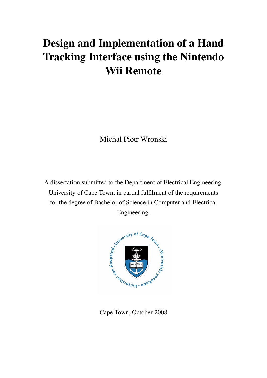# Design and Implementation of a Hand Tracking Interface using the Nintendo Wii Remote

Michal Piotr Wronski

A dissertation submitted to the Department of Electrical Engineering, University of Cape Town, in partial fulfilment of the requirements for the degree of Bachelor of Science in Computer and Electrical Engineering.



Cape Town, October 2008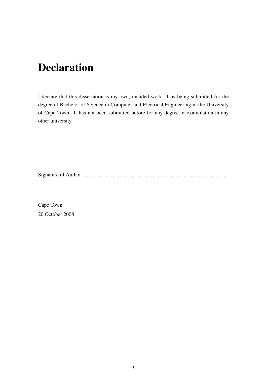# Declaration

I declare that this dissertation is my own, unaided work. It is being submitted for the degree of Bachelor of Science in Computer and Electrical Engineering in the University of Cape Town. It has not been submitted before for any degree or examination in any other university.

Signature of Author . . . . . . . . . . . . . . . . . . . . . . . . . . . . . . . . . . . . . . . . . . . . . . . . . . . . . . . . . . . . . .

Cape Town 20 October 2008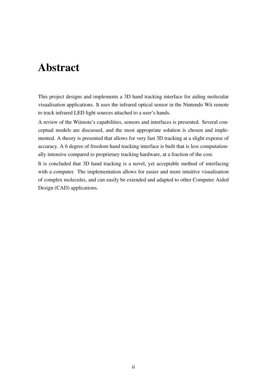# Abstract

This project designs and implements a 3D hand tracking interface for aiding molecular visualisation applications. It uses the infrared optical sensor in the Nintendo Wii remote to track infrared LED light sources attached to a user's hands.

A review of the Wiimote's capabilities, sensors and interfaces is presented. Several conceptual models are discussed, and the most appropriate solution is chosen and implemented. A theory is presented that allows for very fast 3D tracking at a slight expense of accuracy. A 6 degree of freedom hand tracking interface is built that is less computationally intensive compared to proprietary tracking hardware, at a fraction of the cost.

It is concluded that 3D hand tracking is a novel, yet acceptable method of interfacing with a computer. The implementation allows for easier and more intuitive visualisation of complex molecules, and can easily be extended and adapted to other Computer Aided Design (CAD) applications.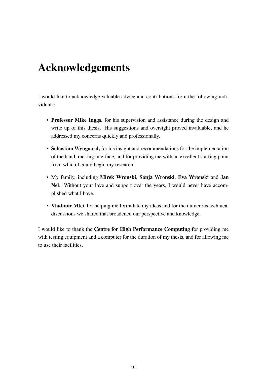# Acknowledgements

I would like to acknowledge valuable advice and contributions from the following individuals:

- Professor Mike Inggs, for his supervision and assistance during the design and write up of this thesis. His suggestions and oversight proved invaluable, and he addressed my concerns quickly and professionally.
- Sebastian Wyngaard, for his insight and recommendations for the implementation of the hand tracking interface, and for providing me with an excellent starting point from which I could begin my research.
- My family, including Mirek Wronski, Sonja Wronski, Eva Wronski and Jan Nel. Without your love and support over the years, I would never have accomplished what I have.
- Vladimir Mtei, for helping me formulate my ideas and for the numerous technical discussions we shared that broadened our perspective and knowledge.

I would like to thank the Centre for High Performance Computing for providing me with testing equipment and a computer for the duration of my thesis, and for allowing me to use their facilities.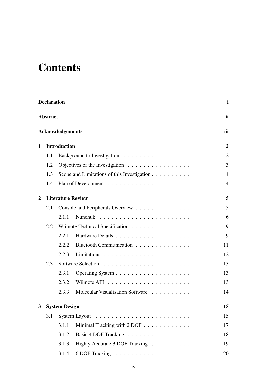# **Contents**

|              | <b>Declaration</b> |                         |                                                                                           | $\mathbf i$    |
|--------------|--------------------|-------------------------|-------------------------------------------------------------------------------------------|----------------|
|              | <b>Abstract</b>    |                         |                                                                                           | ii             |
|              |                    | <b>Acknowledgements</b> |                                                                                           | iii            |
| $\mathbf 1$  |                    | <b>Introduction</b>     |                                                                                           | $\overline{2}$ |
|              | 1.1                |                         |                                                                                           | $\overline{2}$ |
|              | 1.2                |                         | Objectives of the Investigation $\ldots \ldots \ldots \ldots \ldots \ldots \ldots \ldots$ | 3              |
|              | 1.3                |                         | Scope and Limitations of this Investigation $\dots \dots \dots \dots \dots \dots$         | $\overline{4}$ |
|              | 1.4                |                         |                                                                                           | $\overline{4}$ |
| 2            |                    |                         | <b>Literature Review</b>                                                                  | 5              |
|              | 2.1                |                         |                                                                                           | 5              |
|              |                    | 2.1.1                   |                                                                                           | 6              |
|              | 2.2                |                         |                                                                                           | 9              |
|              |                    | 2.2.1                   |                                                                                           | 9              |
|              |                    | 2.2.2                   |                                                                                           | 11             |
|              |                    | 2.2.3                   |                                                                                           | 12             |
|              | 2.3                |                         |                                                                                           | 13             |
|              |                    | 2.3.1                   |                                                                                           | 13             |
|              |                    | 2.3.2                   |                                                                                           | 13             |
|              |                    | 2.3.3                   | Molecular Visualisation Software                                                          | 14             |
| $\mathbf{3}$ |                    | <b>System Design</b>    |                                                                                           | 15             |
|              | 3.1                |                         |                                                                                           | 15             |
|              |                    | 3.1.1                   |                                                                                           | 17             |
|              |                    | 3.1.2                   |                                                                                           | 18             |
|              |                    | 3.1.3                   | Highly Accurate 3 DOF Tracking                                                            | 19             |
|              |                    | 3.1.4                   |                                                                                           | 20             |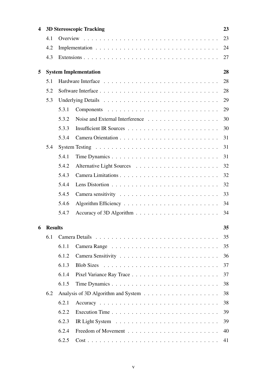| 4 |           |       | <b>3D Stereoscopic Tracking</b>                                                            | 23 |
|---|-----------|-------|--------------------------------------------------------------------------------------------|----|
|   | 4.1       |       |                                                                                            | 23 |
|   | 4.2       |       |                                                                                            | 24 |
|   | 4.3       |       |                                                                                            | 27 |
| 5 |           |       | <b>System Implementation</b>                                                               | 28 |
|   | 5.1       |       |                                                                                            | 28 |
|   | 5.2       |       |                                                                                            | 28 |
|   | 5.3       |       |                                                                                            | 29 |
|   |           | 5.3.1 |                                                                                            | 29 |
|   |           | 5.3.2 |                                                                                            | 30 |
|   |           | 5.3.3 |                                                                                            | 30 |
|   |           | 5.3.4 |                                                                                            | 31 |
|   | 5.4       |       | System Testing $\ldots \ldots \ldots \ldots \ldots \ldots \ldots \ldots \ldots \ldots$     | 31 |
|   |           | 5.4.1 |                                                                                            | 31 |
|   |           | 5.4.2 |                                                                                            | 32 |
|   |           | 5.4.3 |                                                                                            | 32 |
|   |           | 5.4.4 |                                                                                            | 32 |
|   |           | 5.4.5 |                                                                                            | 33 |
|   |           | 5.4.6 |                                                                                            | 34 |
|   |           | 5.4.7 |                                                                                            | 34 |
|   | 6 Results |       |                                                                                            | 35 |
|   | 6.1       |       |                                                                                            | 35 |
|   |           | 6.1.1 |                                                                                            | 35 |
|   |           | 6.1.2 |                                                                                            | 36 |
|   |           | 6.1.3 |                                                                                            | 37 |
|   |           | 6.1.4 |                                                                                            | 37 |
|   |           | 6.1.5 |                                                                                            | 38 |
|   | 6.2       |       |                                                                                            | 38 |
|   |           | 6.2.1 |                                                                                            | 38 |
|   |           | 6.2.2 |                                                                                            | 39 |
|   |           | 6.2.3 |                                                                                            | 39 |
|   |           | 6.2.4 |                                                                                            | 40 |
|   |           | 6.2.5 | $Cost \ldots \ldots \ldots \ldots \ldots \ldots \ldots \ldots \ldots \ldots \ldots \ldots$ | 41 |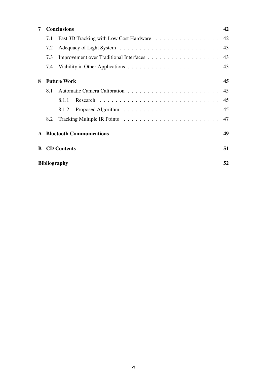| 7            |     | <b>Conclusions</b>                      | 42 |
|--------------|-----|-----------------------------------------|----|
|              | 7.1 | Fast 3D Tracking with Low Cost Hardware | 42 |
|              | 7.2 |                                         | 43 |
|              | 7.3 |                                         | 43 |
|              | 7.4 |                                         | 43 |
| 8            |     | <b>Future Work</b>                      | 45 |
|              | 8.1 |                                         | 45 |
|              |     | 8.1.1                                   | 45 |
|              |     | 8.1.2                                   | 45 |
|              | 8.2 |                                         | 47 |
| $\mathbf{A}$ |     | <b>Bluetooth Communications</b>         | 49 |
| <sup>R</sup> |     | <b>CD</b> Contents                      | 51 |
|              |     | <b>Bibliography</b>                     | 52 |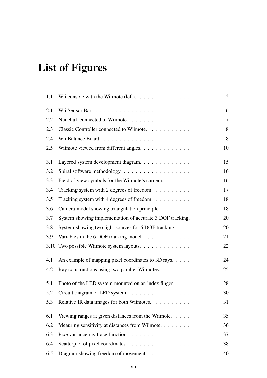# List of Figures

| 1.1  | Wii console with the Wiimote (left). $\dots \dots \dots \dots \dots \dots \dots \dots$ | $\overline{2}$ |
|------|----------------------------------------------------------------------------------------|----------------|
| 2.1  |                                                                                        | 6              |
| 2.2  |                                                                                        | $\tau$         |
| 2.3  |                                                                                        | 8              |
| 2.4  |                                                                                        | 8              |
| 2.5  | Wiimote viewed from different angles. $\dots \dots \dots \dots \dots \dots \dots$      | 10             |
| 3.1  |                                                                                        | 15             |
| 3.2  |                                                                                        | 16             |
| 3.3  | Field of view symbols for the Wiimote's camera.                                        | 16             |
| 3.4  | Tracking system with 2 degrees of freedom.                                             | 17             |
| 3.5  | Tracking system with 4 degrees of freedom.                                             | 18             |
| 3.6  | Camera model showing triangulation principle.                                          | 18             |
| 3.7  | System showing implementation of accurate 3 DOF tracking.                              | 20             |
| 3.8  | System showing two light sources for 6 DOF tracking.                                   | 20             |
| 3.9  | Variables in the 6 DOF tracking model. $\ldots \ldots \ldots \ldots \ldots \ldots$     | 21             |
| 3.10 |                                                                                        | 22             |
| 4.1  | An example of mapping pixel coordinates to 3D rays.                                    | 24             |
| 4.2  | Ray constructions using two parallel Wiimotes.                                         | 25             |
| 5.1  | Photo of the LED system mounted on an index finger. $\dots$                            | 28             |
| 5.2  |                                                                                        | 30             |
| 5.3  | Relative IR data images for both Wiimotes.                                             | 31             |
| 6.1  | Viewing ranges at given distances from the Wiimote. $\dots \dots \dots$                | 35             |
| 6.2  | Meauring sensitivity at distances from Wiimote.                                        | 36             |
| 6.3  |                                                                                        | 37             |
| 6.4  |                                                                                        | 38             |
| 6.5  | Diagram showing freedom of movement.                                                   | 40             |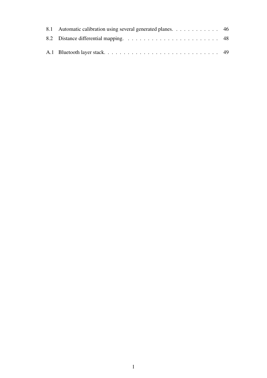| 8.1 Automatic calibration using several generated planes. 46 |  |
|--------------------------------------------------------------|--|
|                                                              |  |
|                                                              |  |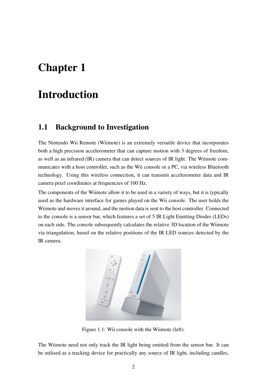# Chapter 1

# Introduction

## 1.1 Background to Investigation

The Nintendo Wii Remote (Wiimote) is an extremely versatile device that incorporates both a high precision accelerometer that can capture motion with 3 degrees of freedom, as well as an infrared (IR) camera that can detect sources of IR light. The Wiimote communicates with a host controller, such as the Wii console or a PC, via wireless Bluetooth technology. Using this wireless connection, it can transmit accelerometer data and IR camera pixel coordinates at frequencies of 100 Hz.

The components of the Wiimote allow it to be used in a variety of ways, but it is typically used as the hardware interface for games played on the Wii console. The user holds the Wiimote and moves it around, and the motion data is sent to the host controller. Connected to the console is a sensor bar, which features a set of 5 IR Light Emitting Diodes (LEDs) on each side. The console subsequently calculates the relative 3D location of the Wiimote via triangulation, based on the relative positions of the IR LED sources detected by the IR camera.



Figure 1.1: Wii console with the Wiimote (left).

The Wiimote need not only track the IR light being emitted from the sensor bar. It can be utilised as a tracking device for practically any source of IR light, including candles,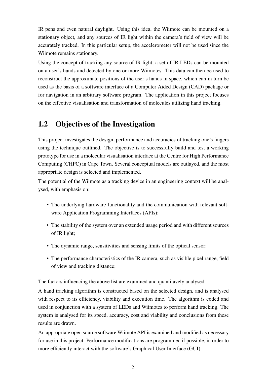IR pens and even natural daylight. Using this idea, the Wiimote can be mounted on a stationary object, and any sources of IR light within the camera's field of view will be accurately tracked. In this particular setup, the accelerometer will not be used since the Wiimote remains stationary.

Using the concept of tracking any source of IR light, a set of IR LEDs can be mounted on a user's hands and detected by one or more Wiimotes. This data can then be used to reconstruct the approximate positions of the user's hands in space, which can in turn be used as the basis of a software interface of a Computer Aided Design (CAD) package or for navigation in an arbitrary software program. The application in this project focuses on the effective visualisation and transformation of molecules utilizing hand tracking.

## 1.2 Objectives of the Investigation

This project investigates the design, performance and accuracies of tracking one's fingers using the technique outlined. The objective is to successfully build and test a working prototype for use in a molecular visualisation interface at the Centre for High Performance Computing (CHPC) in Cape Town. Several conceptual models are outlayed, and the most appropriate design is selected and implemented.

The potential of the Wiimote as a tracking device in an engineering context will be analysed, with emphasis on:

- The underlying hardware functionality and the communication with relevant software Application Programming Interfaces (APIs);
- The stability of the system over an extended usage period and with different sources of IR light;
- The dynamic range, sensitivities and sensing limits of the optical sensor;
- The performance characteristics of the IR camera, such as visible pixel range, field of view and tracking distance;

The factors influencing the above list are examined and quantitavely analysed.

A hand tracking algorithm is constructed based on the selected design, and is analysed with respect to its efficiency, viability and execution time. The algorithm is coded and used in conjunction with a system of LEDs and Wiimotes to perform hand tracking. The system is analysed for its speed, accuracy, cost and viability and conclusions from these results are drawn.

An appropriate open source software Wiimote API is examined and modified as necessary for use in this project. Performance modifications are programmed if possible, in order to more efficiently interact with the software's Graphical User Interface (GUI).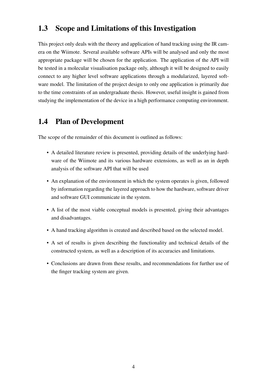## 1.3 Scope and Limitations of this Investigation

This project only deals with the theory and application of hand tracking using the IR camera on the Wiimote. Several available software APIs will be analysed and only the most appropriate package will be chosen for the application. The application of the API will be tested in a molecular visualisation package only, although it will be designed to easily connect to any higher level software applications through a modularized, layered software model. The limitation of the project design to only one application is primarily due to the time constraints of an undergraduate thesis. However, useful insight is gained from studying the implementation of the device in a high performance computing environment.

## 1.4 Plan of Development

The scope of the remainder of this document is outlined as follows:

- A detailed literature review is presented, providing details of the underlying hardware of the Wiimote and its various hardware extensions, as well as an in depth analysis of the software API that will be used
- An explanation of the environment in which the system operates is given, followed by information regarding the layered approach to how the hardware, software driver and software GUI communicate in the system.
- A list of the most viable conceptual models is presented, giving their advantages and disadvantages.
- A hand tracking algorithm is created and described based on the selected model.
- A set of results is given describing the functionality and technical details of the constructed system, as well as a description of its accuracies and limitations.
- Conclusions are drawn from these results, and recommendations for further use of the finger tracking system are given.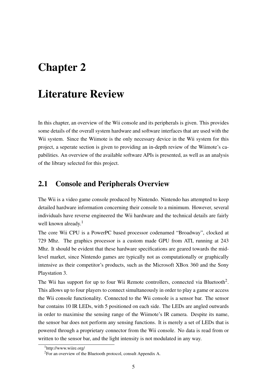# Chapter 2

# Literature Review

In this chapter, an overview of the Wii console and its peripherals is given. This provides some details of the overall system hardware and software interfaces that are used with the Wii system. Since the Wiimote is the only necessary device in the Wii system for this project, a seperate section is given to providing an in-depth review of the Wiimote's capabilities. An overview of the available software APIs is presented, as well as an analysis of the library selected for this project.

## 2.1 Console and Peripherals Overview

The Wii is a video game console produced by Nintendo. Nintendo has attempted to keep detailed hardware information concerning their console to a minimum. However, several individuals have reverse engineered the Wii hardware and the technical details are fairly well known already.<sup>1</sup>

The core Wii CPU is a PowerPC based processor codenamed "Broadway", clocked at 729 Mhz. The graphics processor is a custom made GPU from ATI, running at 243 Mhz. It should be evident that these hardware specifications are geared towards the midlevel market, since Nintendo games are typically not as computationally or graphically intensive as their competitor's products, such as the Microsoft XBox 360 and the Sony Playstation 3.

The Wii has support for up to four Wii Remote controllers, connected via Bluetooth<sup>2</sup>. This allows up to four players to connect simultaneously in order to play a game or access the Wii console functionality. Connected to the Wii console is a sensor bar. The sensor bar contains 10 IR LEDs, with 5 positioned on each side. The LEDs are angled outwards in order to maximise the sensing range of the Wiimote's IR camera. Despite its name, the sensor bar does not perform any sensing functions. It is merely a set of LEDs that is powered through a proprietary connector from the Wii console. No data is read from or written to the sensor bar, and the light intensity is not modulated in any way.

<sup>1</sup>http://www.wiire.org/

<sup>2</sup>For an overview of the Bluetooth protocol, consult Appendix A.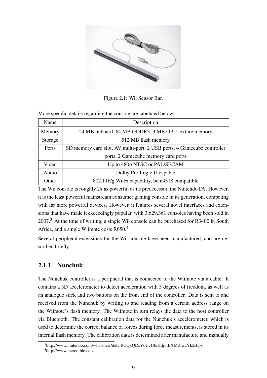

Figure 2.1: Wii Sensor Bar.

More specific details regarding the console are tabulated below:

| Name    | Description                                                            |
|---------|------------------------------------------------------------------------|
| Memory  | 24 MB onboard, 64 MB GDDR3, 3 MB GPU texture memory                    |
| Storage | 512 MB flash memory                                                    |
| Ports   | SD memory card slot, AV multi-port, 2 USB ports, 4 Gamecube controller |
|         | ports, 2 Gamecube memory card ports                                    |
| Video   | Up to 480p NTSC or PAL/SECAM                                           |
| Audio   | Dolby Pro Logic II-capable                                             |
| Other   | 802.11b/g Wi-Fi capability, bcm4318 compatible                         |

The Wii console is roughly 2x as powerful as its predecessor, the Nintendo DS. However, it is the least powerful mainstream consumer gaming console in its generation, competing with far more powerful devices. However, it features several novel interfaces and extensions that have made it exceedingly popular, with 3,629,361 consoles having been sold in 2007.<sup>3</sup> At the time of writing, a single Wii console can be purchased for R3400 in South Africa, and a single Wiimote costs R650.<sup>4</sup>

Several peripheral extensions for the Wii console have been manufactured, and are described briefly.

### 2.1.1 Nunchuk

The Nunchuk controller is a peripheral that is connected to the Wiimote via a cable. It contains a 3D accelerometer to detect acceleration with 3 degrees of freedom, as well as an analogue stick and two buttons on the front end of the controller. Data is sent to and received from the Nunchuk by writing to and reading from a certain address range on the Wiimote's flash memory. The Wiimote in turn relays the data to the host controller via Bluetooth. The constant calibration data for the Nunchuk's accelerometer, which is used to determine the correct balance of forces during force measurements, is stored in its internal flash memory. The calibration data is determined after manufacture and manually

<sup>3</sup>http://www.nintendo.com/whatsnew/detail/UQkQDsY6UcUbiHdjvIEXMrbwcYk2sbpx <sup>4</sup>http://www.incredible.co.za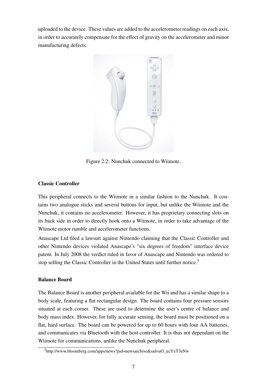uploaded to the device. These values are added to the accelerometer readings on each axis, in order to accurately compensate for the effect of gravity on the accelerometer and minor manufacturing defects.



Figure 2.2: Nunchuk connected to Wiimote.

#### Classic Controller

This peripheral connects to the Wiimote in a similar fashion to the Nunchuk. It contains two analogue sticks and several buttons for input, but unlike the Wiimote and the Nunchuk, it contains no accelerometer. However, it has proprietary connecting slots on its back side in order to directly hook onto a Wiimote, in order to take advantage of the Wiimote motor rumble and accelerometer functions.

Anascape Ltd filed a lawsuit against Nintendo claiming that the Classic Controller and other Nintendo devices violated Anascape's "six degrees of freedom" interface device patent. In July 2008 the verdict ruled in favor of Anascape and Nintendo was ordered to stop selling the Classic Controller in the United States until further notice.<sup>5</sup>

#### Balance Board

The Balance Board is another peripheral available for the Wii and has a similar shape to a body scale, featuring a flat rectangular design. The board contains four pressure sensors situated at each corner. These are used to determine the user's centre of balance and body mass index. However, for fully accurate sensing, the board must be positioned on a flat, hard surface. The board can be powered for up to 60 hours with four AA batteries, and communicates via Bluetooth with the host controller. It is thus not dependant on the Wiimote for communications, unlike the Nunchuk peripheral.

<sup>5</sup>http://www.bloomberg.com/apps/news?pid=newsarchive&sid=aO\_ucYxT3eNw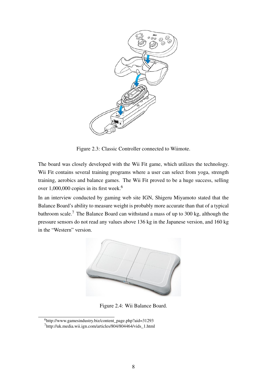

Figure 2.3: Classic Controller connected to Wiimote.

The board was closely developed with the Wii Fit game, which utilizes the technology. Wii Fit contains several training programs where a user can select from yoga, strength training, aerobics and balance games. The Wii Fit proved to be a huge success, selling over  $1,000,000$  copies in its first week.<sup>6</sup>

In an interview conducted by gaming web site IGN, Shigeru Miyamoto stated that the Balance Board's ability to measure weight is probably more accurate than that of a typical bathroom scale.<sup>7</sup> The Balance Board can withstand a mass of up to 300 kg, although the pressure sensors do not read any values above 136 kg in the Japanese version, and 160 kg in the "Western" version.



Figure 2.4: Wii Balance Board.

<sup>6</sup>http://www.gamesindustry.biz/content\_page.php?aid=31293 <sup>7</sup>http://uk.media.wii.ign.com/articles/804/804464/vids\_1.html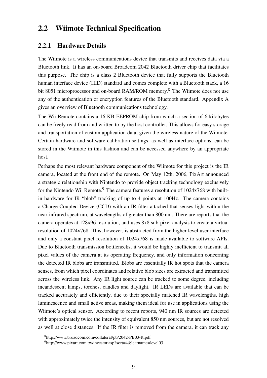## 2.2 Wiimote Technical Specification

### 2.2.1 Hardware Details

The Wiimote is a wireless communications device that transmits and receives data via a Bluetooth link. It has an on-board Broadcom 2042 Bluetooth driver chip that facilitates this purpose. The chip is a class 2 Bluetooth device that fully supports the Bluetooth human interface device (HID) standard and comes complete with a Bluetooth stack, a 16 bit 8051 microprocessor and on-board RAM/ROM memory.<sup>8</sup> The Wiimote does not use any of the authentication or encryption features of the Bluetooth standard. Appendix A gives an overview of Bluetooth communications technology.

The Wii Remote contains a 16 KB EEPROM chip from which a section of 6 kilobytes can be freely read from and written to by the host controller. This allows for easy storage and transportation of custom application data, given the wireless nature of the Wiimote. Certain hardware and software calibration settings, as well as interface options, can be stored in the Wiimote in this fashion and can be accessed anywhere by an appropriate host.

Perhaps the most relevant hardware component of the Wiimote for this project is the IR camera, located at the front end of the remote. On May 12th, 2006, PixArt announced a strategic relationship with Nintendo to provide object tracking technology exclusively for the Nintendo Wii Remote.<sup>9</sup> The camera features a resolution of  $1024x768$  with builtin hardware for IR "blob" tracking of up to 4 points at 100Hz. The camera contains a Charge Coupled Device (CCD) with an IR filter attached that senses light within the near-infrared spectrum, at wavelengths of greater than 800 nm. There are reports that the camera operates at 128x96 resolution, and uses 8x8 sub-pixel analysis to create a virtual resolution of 1024x768. This, however, is abstracted from the higher level user interface and only a constant pixel resolution of 1024x768 is made available to software APIs. Due to Bluetooth transmission bottlenecks, it would be highly inefficient to transmit all pixel values of the camera at its operating frequency, and only information concerning the detected IR blobs are transmitted. Blobs are essentially IR hot spots that the camera senses, from which pixel coordinates and relative blob sizes are extracted and transmitted across the wireless link. Any IR light source can be tracked to some degree, including incandescent lamps, torches, candles and daylight. IR LEDs are available that can be tracked accurately and efficiently, due to their specially matched IR wavelengths, high luminescence and small active areas, making them ideal for use in applications using the Wiimote's optical sensor. According to recent reports, 940 nm IR sources are detected with approximately twice the intensity of equivalent 850 nm sources, but are not resolved as well at close distances. If the IR filter is removed from the camera, it can track any

<sup>8</sup>http://www.broadcom.com/collateral/pb/2042-PB03-R.pdf

<sup>9</sup>http://www.pixart.com.tw/investor.asp?sort=4&learname=level03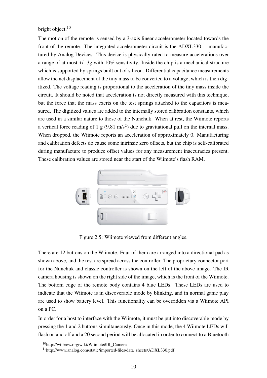bright object.<sup>10</sup>

The motion of the remote is sensed by a 3-axis linear accelerometer located towards the front of the remote. The integrated accelerometer circuit is the  $ADXL330<sup>11</sup>$ , manufactured by Analog Devices. This device is physically rated to measure accelerations over a range of at most +/- 3g with 10% sensitivity. Inside the chip is a mechanical structure which is supported by springs built out of silicon. Differential capacitance measurements allow the net displacement of the tiny mass to be converted to a voltage, which is then digitized. The voltage reading is proportional to the acceleration of the tiny mass inside the circuit. It should be noted that acceleration is not directly measured with this technique, but the force that the mass exerts on the test springs attached to the capacitors is measured. The digitized values are added to the internally stored calibration constants, which are used in a similar nature to those of the Nunchuk. When at rest, the Wiimote reports a vertical force reading of 1 g  $(9.81 \text{ m/s}^2)$  due to gravitational pull on the internal mass. When dropped, the Wiimote reports an acceleration of approximately 0. Manufacturing and calibration defects do cause some intrinsic zero offsets, but the chip is self-calibrated during manufacture to produce offset values for any measurement inaccuracies present. These calibration values are stored near the start of the Wiimote's flash RAM.



Figure 2.5: Wiimote viewed from different angles.

There are 12 buttons on the Wiimote. Four of them are arranged into a directional pad as shown above, and the rest are spread across the controller. The proprietary connector port for the Nunchuk and classic controller is shown on the left of the above image. The IR camera housing is shown on the right side of the image, which is the front of the Wiimote. The bottom edge of the remote body contains 4 blue LEDs. These LEDs are used to indicate that the Wiimote is in discoverable mode by blinking, and in normal game play are used to show battery level. This functionality can be overridden via a Wiimote API on a PC.

In order for a host to interface with the Wiimote, it must be put into discoverable mode by pressing the 1 and 2 buttons simultaneously. Once in this mode, the 4 Wiimote LEDs will flash on and off and a 20 second period will be allocated in order to connect to a Bluetooth

<sup>10</sup>http://wiibrew.org/wiki/Wiimote#IR\_Camera

<sup>11</sup>http://www.analog.com/static/imported-files/data\_sheets/ADXL330.pdf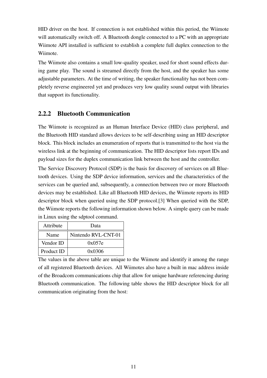HID driver on the host. If connection is not established within this period, the Wiimote will automatically switch off. A Bluetooth dongle connected to a PC with an appropriate Wiimote API installed is sufficient to establish a complete full duplex connection to the Wiimote.

The Wiimote also contains a small low-quality speaker, used for short sound effects during game play. The sound is streamed directly from the host, and the speaker has some adjustable parameters. At the time of writing, the speaker functionality has not been completely reverse engineered yet and produces very low quality sound output with libraries that support its functionality.

### 2.2.2 Bluetooth Communication

The Wiimote is recognized as an Human Interface Device (HID) class peripheral, and the Bluetooth HID standard allows devices to be self-describing using an HID descriptor block. This block includes an enumeration of reports that is transmitted to the host via the wireless link at the beginning of communication. The HID descriptor lists report IDs and payload sizes for the duplex communication link between the host and the controller.

The Service Discovery Protocol (SDP) is the basis for discovery of services on all Bluetooth devices. Using the SDP device information, services and the characteristics of the services can be queried and, subsequently, a connection between two or more Bluetooth devices may be established. Like all Bluetooth HID devices, the Wiimote reports its HID descriptor block when queried using the SDP protocol.[3] When queried with the SDP, the Wiimote reports the following information shown below. A simple query can be made in Linux using the sdptool command.

| Attribute  | Data                |
|------------|---------------------|
| Name       | Nintendo RVL-CNT-01 |
| Vendor ID  | 0x057e              |
| Product ID | 0x0306              |

The values in the above table are unique to the Wiimote and identify it among the range of all registered Bluetooth devices. All Wiimotes also have a built in mac address inside of the Broadcom communications chip that allow for unique hardware referencing during Bluetooth communication. The following table shows the HID descriptor block for all communication originating from the host: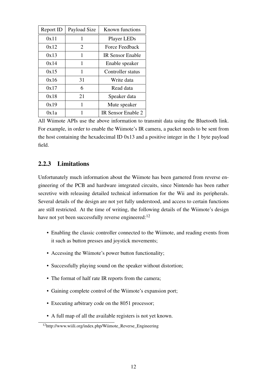| Report ID | Payload Size   | Known functions         |
|-----------|----------------|-------------------------|
| 0x11      | 1              | <b>Player LEDs</b>      |
| 0x12      | $\overline{2}$ | Force Feedback          |
| 0x13      | 1              | <b>IR Sensor Enable</b> |
| 0x14      | 1              | Enable speaker          |
| 0x15      | 1              | Controller status       |
| 0x16      | 31             | Write data              |
| 0x17      | 6              | Read data               |
| 0x18      | 21             | Speaker data            |
| 0x19      | 1              | Mute speaker            |
| 0x1a      | 1              | IR Sensor Enable 2      |

All Wiimote APIs use the above information to transmit data using the Bluetooth link. For example, in order to enable the Wiimote's IR camera, a packet needs to be sent from the host containing the hexadecimal ID 0x13 and a positive integer in the 1 byte payload field.

### 2.2.3 Limitations

Unfortunately much information about the Wiimote has been garnered from reverse engineering of the PCB and hardware integrated circuits, since Nintendo has been rather secretive with releasing detailed technical information for the Wii and its peripherals. Several details of the design are not yet fully understood, and access to certain functions are still restricted. At the time of writing, the following details of the Wiimote's design have not yet been successfully reverse engineered:<sup>12</sup>

- Enabling the classic controller connected to the Wiimote, and reading events from it such as button presses and joystick movements;
- Accessing the Wiimote's power button functionality;
- Successfully playing sound on the speaker without distortion;
- The format of half rate IR reports from the camera;
- Gaining complete control of the Wiimote's expansion port;
- Executing arbitrary code on the 8051 processor;
- A full map of all the available registers is not yet known.

<sup>12</sup>http://www.wiili.org/index.php/Wiimote\_Reverse\_Engineering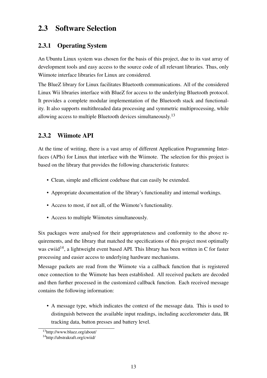## 2.3 Software Selection

### 2.3.1 Operating System

An Ubuntu Linux system was chosen for the basis of this project, due to its vast array of development tools and easy access to the source code of all relevant libraries. Thus, only Wiimote interface libraries for Linux are considered.

The BlueZ library for Linux facilitates Bluetooth communications. All of the considered Linux Wii libraries interface with BlueZ for access to the underlying Bluetooth protocol. It provides a complete modular implementation of the Bluetooth stack and functionality. It also supports multithreaded data processing and symmetric multiprocessing, while allowing access to multiple Bluetooth devices simultaneously.<sup>13</sup>

### 2.3.2 Wiimote API

At the time of writing, there is a vast array of different Application Programming Interfaces (APIs) for Linux that interface with the Wiimote. The selection for this project is based on the library that provides the following characteristic features:

- Clean, simple and efficient codebase that can easily be extended.
- Appropriate documentation of the library's functionality and internal workings.
- Access to most, if not all, of the Wiimote's functionality.
- Access to multiple Wiimotes simultaneously.

Six packages were analysed for their appropriateness and conformity to the above requirements, and the library that matched the specifications of this project most optimally was cwiid<sup>14</sup>, a lightweight event based API. This library has been written in C for faster processing and easier access to underlying hardware mechanisms.

Message packets are read from the Wiimote via a callback function that is registered once connection to the Wiimote has been established. All received packets are decoded and then further processed in the customized callback function. Each received message contains the following information:

• A message type, which indicates the context of the message data. This is used to distinguish between the available input readings, including accelerometer data, IR tracking data, button presses and battery level.

<sup>13</sup>http://www.bluez.org/about/

<sup>14</sup>http://abstrakraft.org/cwiid/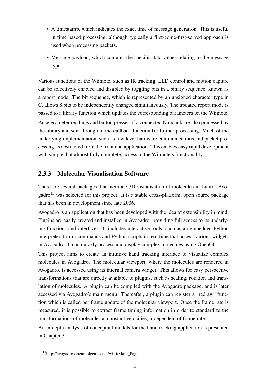- A timestamp, which indicates the exact time of message generation. This is useful in time based processing, although typically a first-come-first-served approach is used when processing packets.
- Message payload, which contains the specific data values relating to the message type.

Various functions of the Wiimote, such as IR tracking, LED control and motion capture can be selectively enabled and disabled by toggling bits in a binary sequence, known as a report mode. The bit sequence, which is represented by an unsigned character type in C, allows 8 bits to be independently changed simultaneously. The updated report mode is passed to a library function which updates the corresponding parameters on the Wiimote. Accelerometer readings and button presses of a connected Nunchuk are also processed by the library and sent through to the callback function for further processing. Much of the underlying implementation, such as low level hardware communications and packet processing, is abstracted from the front end application. This enables easy rapid development with simple, but almost fully complete, access to the Wiimote's functionality.

### 2.3.3 Molecular Visualisation Software

There are several packages that facilitate 3D visualisation of molecules in Linux. Avo- $\text{gadro}^{15}$  was selected for this project. It is a stable cross-platform, open source package that has been in development since late 2006.

Avogadro is an application that has been developed with the idea of extensibility in mind. Plugins are easily created and installed in Avogadro, providing full access to its underlying functions and interfaces. It includes interactive tools, such as an embedded Python interpreter, to run commands and Python scripts in real time that access various widgets in Avogadro. It can quickly process and display complex molecules using OpenGL.

This project aims to create an intuitive hand tracking interface to visualize complex molecules in Avogadro. The molecular viewport, where the molecules are rendered in Avogadro, is accessed using its internal camera widget. This allows for easy perspective transformations that are directly available to plugins, such as scaling, rotation and translation of molecules. A plugin can be compiled with the Avogadro package, and is later accessed via Avogadro's main menu. Thereafter, a plugin can register a "redraw" function which is called per frame update of the molecular viewport. Once the frame rate is measured, it is possible to extract frame timing information in order to standardize the transformations of molecules at constant velocities, independent of frame rate.

An in-depth analysis of conceptual models for the hand tracking application is presented in Chapter 3.

<sup>15</sup>http://avogadro.openmolecules.net/wiki/Main\_Page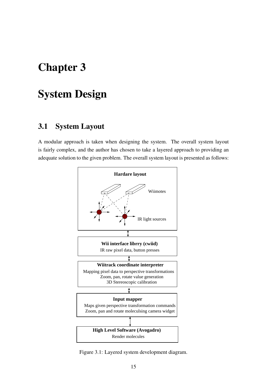# Chapter 3

# System Design

## 3.1 System Layout

A modular approach is taken when designing the system. The overall system layout is fairly complex, and the author has chosen to take a layered approach to providing an adequate solution to the given problem. The overall system layout is presented as follows:



Figure 3.1: Layered system development diagram.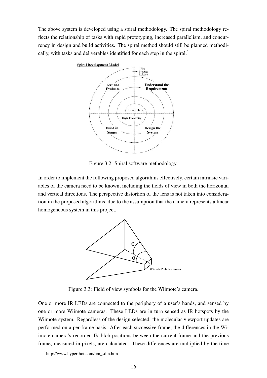The above system is developed using a spiral methodology. The spiral methodology reflects the relationship of tasks with rapid prototyping, increased parallelism, and concurrency in design and build activities. The spiral method should still be planned methodically, with tasks and deliverables identified for each step in the spiral.<sup>1</sup>



Figure 3.2: Spiral software methodology.

In order to implement the following proposed algorithms effectively, certain intrinsic variables of the camera need to be known, including the fields of view in both the horizontal and vertical directions. The perspective distortion of the lens is not taken into consideration in the proposed algorithms, due to the assumption that the camera represents a linear homogeneous system in this project.



Figure 3.3: Field of view symbols for the Wiimote's camera.

One or more IR LEDs are connected to the periphery of a user's hands, and sensed by one or more Wiimote cameras. These LEDs are in turn sensed as IR hotspots by the Wiimote system. Regardless of the design selected, the molecular viewport updates are performed on a per-frame basis. After each successive frame, the differences in the Wiimote camera's recorded IR blob positions between the current frame and the previous frame, measured in pixels, are calculated. These differences are multiplied by the time

<sup>1</sup>http://www.hyperthot.com/pm\_sdm.htm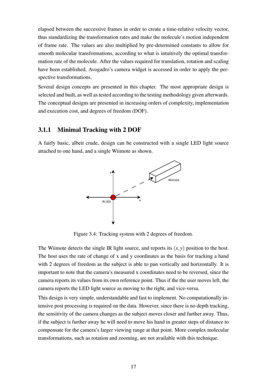elapsed between the successive frames in order to create a time-relative velocity vector, thus standardizing the transformation rates and make the molecule's motion independent of frame rate. The values are also multiplied by pre-determined constants to allow for smooth molecular transformations, according to what is intuitively the optimal transformation rate of the molecule. After the values required for translation, rotation and scaling have been established, Avogadro's camera widget is accessed in order to apply the perspective transformations.

Several design concepts are presented in this chapter. The most appropriate design is selected and built, as well as tested according to the testing methodology given afterwards. The conceptual designs are presented in increasing orders of complexity, implementation and execution cost, and degrees of freedom (DOF).

#### 3.1.1 Minimal Tracking with 2 DOF

A fairly basic, albeit crude, design can be constructed with a single LED light source attached to one hand, and a single Wiimote as shown.



Figure 3.4: Tracking system with 2 degrees of freedom.

The Wiimote detects the single IR light source, and reports its  $(x, y)$  position to the host. The host uses the rate of change of x and y coordinates as the basis for tracking a hand with 2 degrees of freedom as the subject is able to pan vertically and horizontally. It is important to note that the camera's measured x coordinates need to be reversed, since the camera reports its values from its own reference point. Thus if the the user moves left, the camera reports the LED light source as moving to the right, and vice-versa.

This design is very simple, understandable and fast to implement. No computationally intensive post processing is required on the data. However, since there is no depth tracking, the sensitivity of the camera changes as the subject moves closer and further away. Thus, if the subject is further away he will need to move his hand in greater steps of distance to compensate for the camera's larger viewing range at that point. More complex molecular transformations, such as rotation and zooming, are not available with this technique.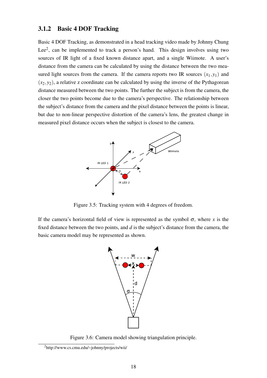#### 3.1.2 Basic 4 DOF Tracking

Basic 4 DOF Tracking, as demonstrated in a head tracking video made by Johnny Chung Lee<sup>2</sup>, can be implemented to track a person's hand. This design involves using two sources of IR light of a fixed known distance apart, and a single Wiimote. A user's distance from the camera can be calculated by using the distance between the two measured light sources from the camera. If the camera reports two IR sources  $(x_1, y_1)$  and  $(x_2, y_2)$ , a relative z coordinate can be calculated by using the inverse of the Pythagorean distance measured between the two points. The further the subject is from the camera, the closer the two points become due to the camera's perspective. The relationship between the subject's distance from the camera and the pixel distance between the points is linear, but due to non-linear perspective distortion of the camera's lens, the greatest change in measured pixel distance occurs when the subject is closest to the camera.



Figure 3.5: Tracking system with 4 degrees of freedom.

If the camera's horizontal field of view is represented as the symbol  $\sigma$ , where *x* is the fixed distance between the two points, and *d* is the subject's distance from the camera, the basic camera model may be represented as shown.



Figure 3.6: Camera model showing triangulation principle.

<sup>2</sup>http://www.cs.cmu.edu/~johnny/projects/wii/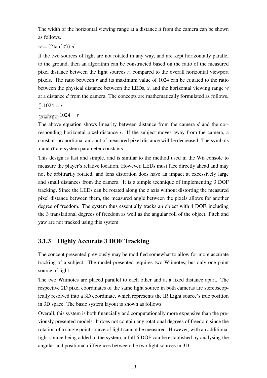The width of the horizontal viewing range at a distance *d* from the camera can be shown as follows.

### $w = (2\tan(\sigma))$ .*d*

If the two sources of light are not rotated in any way, and are kept horizontally parallel to the ground, then an algorithm can be constructed based on the ratio of the measured pixel distance between the light sources *r*, compared to the overall horizontal viewport pixels. The ratio between *r* and its maximum value of 1024 can be equated to the ratio between the physical distance between the LEDs, *x*, and the horizontal viewing range *w* at a distance *d* from the camera. The concepts are mathematically formulated as follows.

$$
\frac{x}{w}.1024=r
$$

$$
\frac{x}{[2\tan(\sigma)].d}.1024 = r
$$

The above equation shows linearity between distance from the camera *d* and the corresponding horizontal pixel distance *r*. If the subject moves away from the camera, a constant proportional amount of measured pixel distance will be decreased. The symbols  $\bar{x}$  and  $\sigma$  are system parameter constants.

This design is fast and simple, and is similar to the method used in the Wii console to measure the player's relative location. However, LEDs must face directly ahead and may not be arbitrarily rotated, and lens distortion does have an impact at excessively large and small distances from the camera. It is a simple technique of implementing 3 DOF tracking. Since the LEDs can be rotated along the z axis without distorting the measured pixel distance between them, the measured angle between the pixels allows for another degree of freedom. The system thus essentially tracks an object with 4 DOF, including the 3 translational degrees of freedom as well as the angular roll of the object. Pitch and yaw are not tracked using this system.

### 3.1.3 Highly Accurate 3 DOF Tracking

The concept presented previously may be modified somewhat to allow for more accurate tracking of a subject. The model presented requires two Wiimotes, but only one point source of light.

The two Wiimotes are placed parallel to each other and at a fixed distance apart. The respective 2D pixel coordinates of the same light source in both cameras are stereoscopically resolved into a 3D coordinate, which represents the IR Light source's true position in 3D space. The basic system layout is shown as follows:

Overall, this system is both financially and computationally more expensive than the previously presented models. It does not contain any rotational degrees of freedom since the rotation of a single point source of light cannot be measured. However, with an additional light source being added to the system, a full 6 DOF can be established by analysing the angular and positional differences between the two light sources in 3D.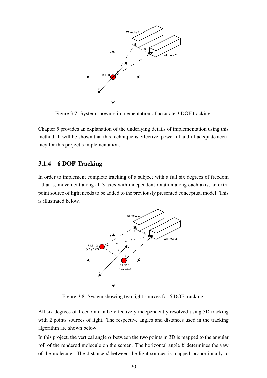

Figure 3.7: System showing implementation of accurate 3 DOF tracking.

Chapter 5 provides an explanation of the underlying details of implementation using this method. It will be shown that this technique is effective, powerful and of adequate accuracy for this project's implementation.

### 3.1.4 6 DOF Tracking

In order to implement complete tracking of a subject with a full six degrees of freedom - that is, movement along all 3 axes with independent rotation along each axis, an extra point source of light needs to be added to the previously presented conceptual model. This is illustrated below.



Figure 3.8: System showing two light sources for 6 DOF tracking.

All six degrees of freedom can be effectively independently resolved using 3D tracking with 2 points sources of light. The respective angles and distances used in the tracking algorithm are shown below:

In this project, the vertical angle  $\alpha$  between the two points in 3D is mapped to the angular roll of the rendered molecule on the screen. The horizontal angle  $β$  determines the yaw of the molecule. The distance *d* between the light sources is mapped proportionally to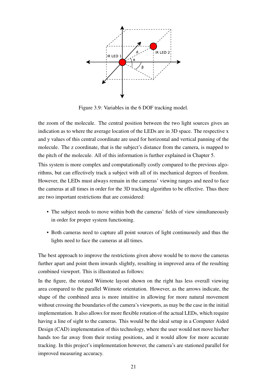

Figure 3.9: Variables in the 6 DOF tracking model.

the zoom of the molecule. The central position between the two light sources gives an indication as to where the average location of the LEDs are in 3D space. The respective x and y values of this central coordinate are used for horizontal and vertical panning of the molecule. The z coordinate, that is the subject's distance from the camera, is mapped to the pitch of the molecule. All of this information is further explained in Chapter 5.

This system is more complex and computationally costly compared to the previous algorithms, but can effectively track a subject with all of its mechanical degrees of freedom. However, the LEDs must always remain in the cameras' viewing ranges and need to face the cameras at all times in order for the 3D tracking algorithm to be effective. Thus there are two important restrictions that are considered:

- The subject needs to move within both the cameras' fields of view simultaneously in order for proper system functioning.
- Both cameras need to capture all point sources of light continuously and thus the lights need to face the cameras at all times.

The best approach to improve the restrictions given above would be to move the cameras further apart and point them inwards slightly, resulting in improved area of the resulting combined viewport. This is illustrated as follows:

In the figure, the rotated Wiimote layout shown on the right has less overall viewing area compared to the parallel Wiimote orientation. However, as the arrows indicate, the shape of the combined area is more intuitive in allowing for more natural movement without crossing the boundaries of the camera's viewports, as may be the case in the initial implementation. It also allows for more flexible rotation of the actual LEDs, which require having a line of sight to the cameras. This would be the ideal setup in a Computer Aided Design (CAD) implementation of this technology, where the user would not move his/her hands too far away from their resting positions, and it would allow for more accurate tracking. In this project's implementation however, the camera's are stationed parallel for improved measuring accuracy.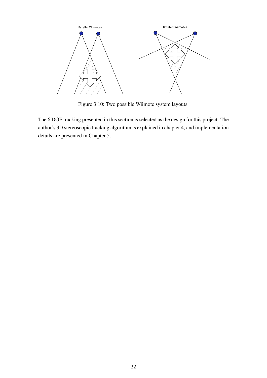

Figure 3.10: Two possible Wiimote system layouts.

The 6 DOF tracking presented in this section is selected as the design for this project. The author's 3D stereoscopic tracking algorithm is explained in chapter 4, and implementation details are presented in Chapter 5.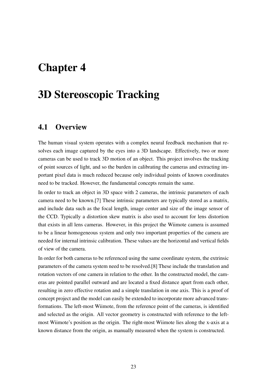# Chapter 4

# 3D Stereoscopic Tracking

## 4.1 Overview

The human visual system operates with a complex neural feedback mechanism that resolves each image captured by the eyes into a 3D landscape. Effectively, two or more cameras can be used to track 3D motion of an object. This project involves the tracking of point sources of light, and so the burden in calibrating the cameras and extracting important pixel data is much reduced because only individual points of known coordinates need to be tracked. However, the fundamental concepts remain the same.

In order to track an object in 3D space with 2 cameras, the intrinsic parameters of each camera need to be known.[7] These intrinsic parameters are typically stored as a matrix, and include data such as the focal length, image center and size of the image sensor of the CCD. Typically a distortion skew matrix is also used to account for lens distortion that exists in all lens cameras. However, in this project the Wiimote camera is assumed to be a linear homogeneous system and only two important properties of the camera are needed for internal intrinsic calibration. These values are the horizontal and vertical fields of view of the camera.

In order for both cameras to be referenced using the same coordinate system, the extrinsic parameters of the camera system need to be resolved.[8] These include the translation and rotation vectors of one camera in relation to the other. In the constructed model, the cameras are pointed parallel outward and are located a fixed distance apart from each other, resulting in zero effective rotation and a simple translation in one axis. This is a proof of concept project and the model can easily be extended to incorporate more advanced transformations. The left-most Wiimote, from the reference point of the cameras, is identified and selected as the origin. All vector geometry is constructed with reference to the leftmost Wiimote's position as the origin. The right-most Wiimote lies along the x-axis at a known distance from the origin, as manually measured when the system is constructed.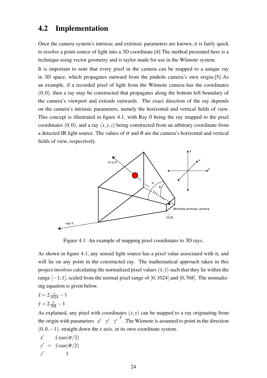## 4.2 Implementation

Once the camera system's intrinsic and extrinsic parameters are known, it is fairly quick to resolve a point source of light into a 3D coordinate.[4] The method presented here is a technique using vector geometry and is taylor made for use in the Wiimote system.

It is important to note that every pixel in the camera can be mapped to a unique ray in 3D space, which propagates outward from the pinhole camera's own origin.[5] As an example, if a recorded pixel of light from the Wiimote camera has the coordinates  $(0,0)$ , then a ray may be constructed that propagates along the bottom left boundary of the camera's viewport and extends outwards. The exact direction of the ray depends on the camera's intrinsic parameters, namely the horizontal and vertical fields of view. This concept is illustrated in figure 4.1, with Ray 0 being the ray mapped to the pixel coordinates  $(0,0)$ , and a ray  $(x, y, z)$  being constructed from an arbitrary coordinate from a detected IR light source. The values of  $\sigma$  and  $\theta$  are the camera's horizontal and vertical fields of view, respectively.



Figure 4.1: An example of mapping pixel coordinates to 3D rays.

As shown in figure 4.1, any sensed light source has a pixel value associated with it, and will lie on any point in the constructed ray. The mathematical approach taken in this project involves calculating the normalized pixel values  $(\hat{x}, \hat{y})$  such that they lie within the range  $[-1;1]$ , scaled from the normal pixel range of  $[0;1024]$  and  $[0;768]$ . The normalizing equation is given below.

$$
\hat{x} = 2\frac{x}{1024} - 1
$$
  

$$
\hat{y} = 2\frac{y}{768} - 1
$$

As explained, any pixel with coordinates  $(x, y)$  can be mapped to a ray originating from the origin with parameters  $x' = y' = z'$ . The Wiimote is assumed to point in the direction  $(0,0,-1)$ , straight down the z axis, in its own coordinate system.

$$
x' = \hat{x} . tan(\sigma/2)
$$
  
\n
$$
y' = \hat{y} . tan(\theta/2)
$$
  
\n
$$
z' = 1
$$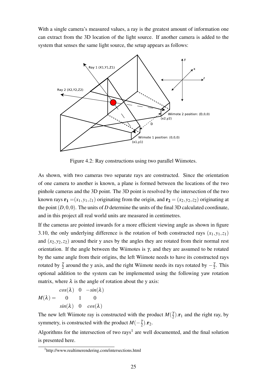With a single camera's measured values, a ray is the greatest amount of information one can extract from the 3D location of the light source. If another camera is added to the system that senses the same light source, the setup appears as follows:



Figure 4.2: Ray constructions using two parallel Wiimotes.

As shown, with two cameras two separate rays are constructed. Since the orientation of one camera to another is known, a plane is formed between the locations of the two pinhole cameras and the 3D point. The 3D point is resolved by the intersection of the two known rays  $\mathbf{r}_1 = (x_1, y_1, z_1)$  originating from the origin, and  $\mathbf{r}_2 = (x_2, y_2, z_2)$  originating at the point  $(D,0,0)$ . The units of *D* determine the units of the final 3D calculated coordinate, and in this project all real world units are measured in centimetres.

If the cameras are pointed inwards for a more efficient viewing angle as shown in figure 3.10, the only underlying difference is the rotation of both constructed rays  $(x_1, y_1, z_1)$ and  $(x_2, y_2, z_2)$  around their y axes by the angles they are rotated from their normal rest orientation. If the angle between the Wiimotes is  $\gamma$ , and they are assumed to be rotated by the same angle from their origins, the left Wiimote needs to have its constructed rays rotated by  $\frac{\gamma}{2}$  around the y axis, and the right Wiimote needs its rays rotated by  $-\frac{1}{2}$  $rac{y}{2}$ . This optional addition to the system can be implemented using the following yaw rotation matrix, where  $\lambda$  is the angle of rotation about the y axis:

$$
M(\lambda) = \begin{matrix} cos(\lambda) & 0 & -sin(\lambda) \\ 0 & 1 & 0 \\ sin(\lambda) & 0 & cos(\lambda) \end{matrix}
$$

The new left Wiimote ray is constructed with the product  $M(\frac{3}{2})$  $(\frac{\gamma}{2})$ .**r**<sub>1</sub> and the right ray, by symmetry, is constructed with the product  $M(-\frac{3}{2})$  $\frac{\gamma}{2}$ ). $\mathbf{r}_2$ .

Algorithms for the intersection of two rays<sup>1</sup> are well documented, and the final solution is presented here.

<sup>&</sup>lt;sup>1</sup>http://www.realtimerendering.com/intersections.html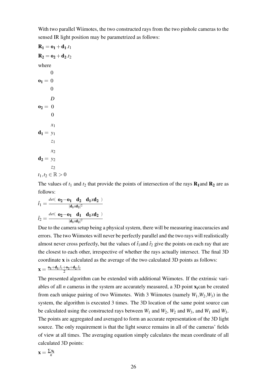With two parallel Wiimotes, the two constructed rays from the two pinhole cameras to the sensed IR light position may be parametrized as follows:

 $$  $R_2 = 0_2 + d_2.t_2$ where  $\mathbf{o}_1 = 0$ 0 0  $$ *D* 0  $d_1 = y_1$ *x*1 *z*1  $d_2 = y_2$ *x*<sup>2</sup> *z*2  $t_1,t_2 \in \mathbb{R} > 0$ 

The values of  $t_1$  and  $t_2$  that provide the points of intersection of the rays  $\mathbf{R}_1$  and  $\mathbf{R}_2$  are as follows:

$$
\hat{t}_1 = \frac{\det(-\mathbf{0}_2 - \mathbf{0}_1 - \mathbf{d}_2 - \mathbf{d}_1 x \mathbf{d}_2)}{|\mathbf{d}_1 x \mathbf{d}_2|^2}
$$
\n
$$
\hat{t}_2 = \frac{\det(-\mathbf{0}_2 - \mathbf{0}_1 - \mathbf{d}_1 - \mathbf{d}_1 x \mathbf{d}_2)}{|\mathbf{d}_1 x \mathbf{d}_2|^2}
$$

Due to the camera setup being a physical system, there will be measuring inaccuracies and errors. The two Wiimotes will never be perfectly parallel and the two rays will realistically almost never cross perfectly, but the values of  $\hat{t}_1$  and  $\hat{t}_2$  give the points on each ray that are the closest to each other, irrespective of whether the rays actually intersect. The final 3D coordinate x is calculated as the average of the two calculated 3D points as follows:  $\mathbf{x} = \frac{\mathbf{o_1} + \mathbf{d_1}.\hat{t}_1 + \mathbf{o_2} + \mathbf{d_2}.\hat{t}_2}{2}$ 2

The presented algorithm can be extended with additional Wiimotes. If the extrinsic variables of all  $n$  cameras in the system are accurately measured, a 3D point  $x_i$ can be created from each unique pairing of two Wiimotes. With 3 Wiimotes (namely  $W_1, W_2, W_3$ ) in the system, the algorithm is executed 3 times. The 3D location of the same point source can be calculated using the constructed rays between  $W_1$  and  $W_2$ ,  $W_2$  and  $W_3$ , and  $W_1$  and  $W_3$ . The points are aggregated and averaged to form an accurate representation of the 3D light source. The only requirement is that the light source remains in all of the cameras' fields of view at all times. The averaging equation simply calculates the mean coordinate of all calculated 3D points:

$$
\mathbf{x} = \frac{\sum x_i}{n}
$$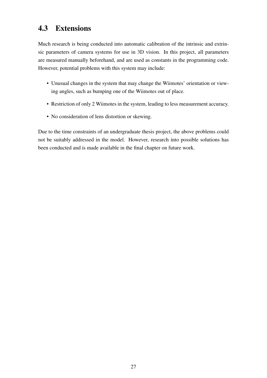# 4.3 Extensions

Much research is being conducted into automatic calibration of the intrinsic and extrinsic parameters of camera systems for use in 3D vision. In this project, all parameters are measured manually beforehand, and are used as constants in the programming code. However, potential problems with this system may include:

- Unusual changes in the system that may change the Wiimotes' orientation or viewing angles, such as bumping one of the Wiimotes out of place.
- Restriction of only 2 Wiimotes in the system, leading to less measurement accuracy.
- No consideration of lens distortion or skewing.

Due to the time constraints of an undergraduate thesis project, the above problems could not be suitably addressed in the model. However, research into possible solutions has been conducted and is made available in the final chapter on future work.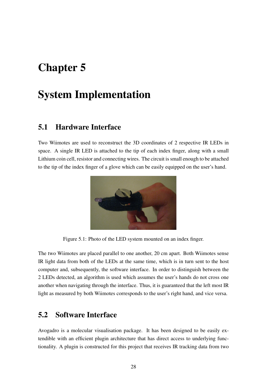# Chapter 5

# System Implementation

### 5.1 Hardware Interface

Two Wiimotes are used to reconstruct the 3D coordinates of 2 respective IR LEDs in space. A single IR LED is attached to the tip of each index finger, along with a small Lithium coin cell, resistor and connecting wires. The circuit is small enough to be attached to the tip of the index finger of a glove which can be easily equipped on the user's hand.



Figure 5.1: Photo of the LED system mounted on an index finger.

The two Wiimotes are placed parallel to one another, 20 cm apart. Both Wiimotes sense IR light data from both of the LEDs at the same time, which is in turn sent to the host computer and, subsequently, the software interface. In order to distinguish between the 2 LEDs detected, an algorithm is used which assumes the user's hands do not cross one another when navigating through the interface. Thus, it is guaranteed that the left most IR light as measured by both Wiimotes corresponds to the user's right hand, and vice versa.

## 5.2 Software Interface

Avogadro is a molecular visualisation package. It has been designed to be easily extendible with an efficient plugin architecture that has direct access to underlying functionality. A plugin is constructed for this project that receives IR tracking data from two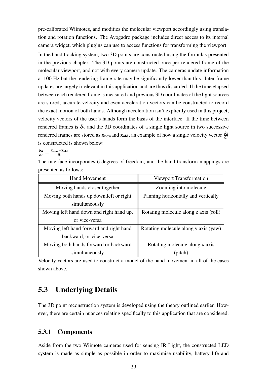pre-calibrated Wiimotes, and modifies the molecular viewport accordingly using translation and rotation functions. The Avogadro package includes direct access to its internal camera widget, which plugins can use to access functions for transforming the viewport.

In the hand tracking system, two 3D points are constructed using the formulas presented in the previous chapter. The 3D points are constructed once per rendered frame of the molecular viewport, and not with every camera update. The cameras update information at 100 Hz but the rendering frame rate may be significantly lower than this. Inter-frame updates are largely irrelevant in this application and are thus discarded. If the time elapsed between each rendered frame is measured and previous 3D coordinates of the light sources are stored, accurate velocity and even acceleration vectors can be constructed to record the exact motion of both hands. Although acceleration isn't explicitly used in this project, velocity vectors of the user's hands form the basis of the interface. If the time between rendered frames is  $\delta_t$ , and the 3D coordinates of a single light source in two successive rendered frames are stored as  $x_{new}$  and  $x_{old}$ , an example of how a single velocity vector  $\frac{\delta x}{\delta t}$ is constructed is shown below:

$$
\tfrac{\delta x}{\delta t} = \tfrac{x_{new} - x_{old}}{\delta_t}
$$

The interface incorporates 6 degrees of freedom, and the hand-transform mappings are presented as follows:

| <b>Hand Movement</b>                      | Viewport Transformation               |  |
|-------------------------------------------|---------------------------------------|--|
| Moving hands closer together              | Zooming into molecule                 |  |
| Moving both hands up, down, left or right | Panning horizontally and vertically   |  |
| simultaneously                            |                                       |  |
| Moving left hand down and right hand up,  | Rotating molecule along z axis (roll) |  |
| or vice-versa                             |                                       |  |
| Moving left hand forward and right hand   | Rotating molecule along y axis (yaw)  |  |
| backward, or vice-versa                   |                                       |  |
| Moving both hands forward or backward     | Rotating molecule along x axis        |  |
| simultaneously                            | (pitch)                               |  |

Velocity vectors are used to construct a model of the hand movement in all of the cases shown above.

# 5.3 Underlying Details

The 3D point reconstruction system is developed using the theory outlined earlier. However, there are certain nuances relating specifically to this application that are considered.

### 5.3.1 Components

Aside from the two Wiimote cameras used for sensing IR Light, the constructed LED system is made as simple as possible in order to maximise usability, battery life and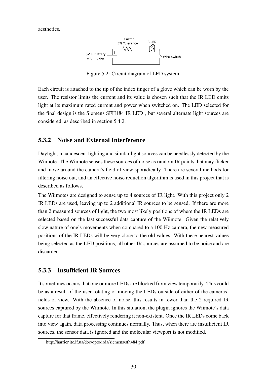aesthetics.



Figure 5.2: Circuit diagram of LED system.

Each circuit is attached to the tip of the index finger of a glove which can be worn by the user. The resistor limits the current and its value is chosen such that the IR LED emits light at its maximum rated current and power when switched on. The LED selected for the final design is the Siemens SFH484 IR  $LED<sup>1</sup>$ , but several alternate light sources are considered, as described in section 5.4.2.

### 5.3.2 Noise and External Interference

Daylight, incandescent lighting and similar light sources can be needlessly detected by the Wiimote. The Wiimote senses these sources of noise as random IR points that may flicker and move around the camera's field of view sporadically. There are several methods for filtering noise out, and an effective noise reduction algorithm is used in this project that is described as follows.

The Wiimotes are designed to sense up to 4 sources of IR light. With this project only 2 IR LEDs are used, leaving up to 2 additional IR sources to be sensed. If there are more than 2 measured sources of light, the two most likely positions of where the IR LEDs are selected based on the last successful data capture of the Wiimote. Given the relatively slow nature of one's movements when compared to a 100 Hz camera, the new measured positions of the IR LEDs will be very close to the old values. With these nearest values being selected as the LED positions, all other IR sources are assumed to be noise and are discarded.

### 5.3.3 Insufficient IR Sources

It sometimes occurs that one or more LEDs are blocked from view temporarily. This could be as a result of the user rotating or moving the LEDs outside of either of the cameras' fields of view. With the absence of noise, this results in fewer than the 2 required IR sources captured by the Wiimote. In this situation, the plugin ignores the Wiimote's data capture for that frame, effectively rendering it non-existent. Once the IR LEDs come back into view again, data processing continues normally. Thus, when there are insufficient IR sources, the sensor data is ignored and the molecular viewport is not modified.

<sup>1</sup>http://harrier.itc.if.ua/doc/opto/irda/siemens/sfh484.pdf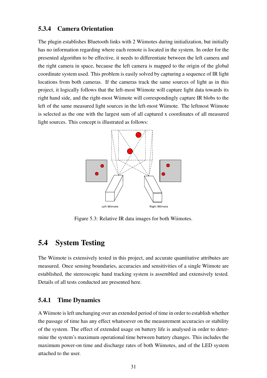### 5.3.4 Camera Orientation

The plugin establishes Bluetooth links with 2 Wiimotes during initialization, but initially has no information regarding where each remote is located in the system. In order for the presented algorithm to be effective, it needs to differentiate between the left camera and the right camera in space, because the left camera is mapped to the origin of the global coordinate system used. This problem is easily solved by capturing a sequence of IR light locations from both cameras. If the cameras track the same sources of light as in this project, it logically follows that the left-most Wiimote will capture light data towards its right hand side, and the right-most Wiimote will correspondingly capture IR blobs to the left of the same measured light sources in the left-most Wiimote. The leftmost Wiimote is selected as the one with the largest sum of all captured x coordinates of all measured light sources. This concept is illustrated as follows:



Figure 5.3: Relative IR data images for both Wiimotes.

## 5.4 System Testing

The Wiimote is extensively tested in this project, and accurate quantitative attributes are measured. Once sensing boundaries, accuracies and sensitivities of a single Wiimote are established, the stereoscopic hand tracking system is assembled and extensively tested. Details of all tests conducted are presented here.

#### 5.4.1 Time Dynamics

A Wiimote is left unchanging over an extended period of time in order to establish whether the passage of time has any effect whatsoever on the measurement accuracies or stability of the system. The effect of extended usage on battery life is analysed in order to determine the system's maximum operational time between battery changes. This includes the maximum power-on time and discharge rates of both Wiimotes, and of the LED system attached to the user.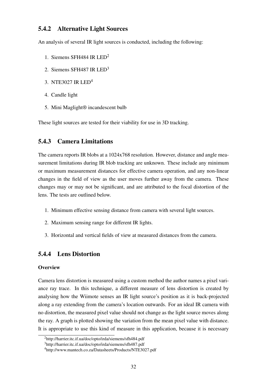### 5.4.2 Alternative Light Sources

An analysis of several IR light sources is conducted, including the following:

- 1. Siemens SFH484 IR LED<sup>2</sup>
- 2. Siemens SFH487 IR LED<sup>3</sup>
- 3. NTE3027 IR LED<sup>4</sup>
- 4. Candle light
- 5. Mini Maglight® incandescent bulb

These light sources are tested for their viability for use in 3D tracking.

### 5.4.3 Camera Limitations

The camera reports IR blobs at a 1024x768 resolution. However, distance and angle measurement limitations during IR blob tracking are unknown. These include any minimum or maximum measurement distances for effective camera operation, and any non-linear changes in the field of view as the user moves further away from the camera. These changes may or may not be significant, and are attributed to the focal distortion of the lens. The tests are outlined below.

- 1. Minimum effective sensing distance from camera with several light sources.
- 2. Maximum sensing range for different IR lights.
- 3. Horizontal and vertical fields of view at measured distances from the camera.

### 5.4.4 Lens Distortion

#### **Overview**

Camera lens distortion is measured using a custom method the author names a pixel variance ray trace. In this technique, a different measure of lens distortion is created by analysing how the Wiimote senses an IR light source's position as it is back-projected along a ray extending from the camera's location outwards. For an ideal IR camera with no distortion, the measured pixel value should not change as the light source moves along the ray. A graph is plotted showing the variation from the mean pixel value with distance. It is appropriate to use this kind of measure in this application, because it is necessary

<sup>2</sup>http://harrier.itc.if.ua/doc/opto/irda/siemens/sfh484.pdf

<sup>3</sup>http://harrier.itc.if.ua/doc/opto/irda/siemens/sfh487.pdf

<sup>4</sup>http://www.mantech.co.za/Datasheets/Products/NTE3027.pdf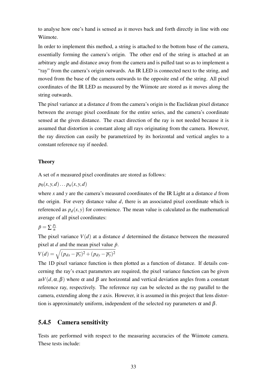to analyse how one's hand is sensed as it moves back and forth directly in line with one Wiimote.

In order to implement this method, a string is attached to the bottom base of the camera, essentially forming the camera's origin. The other end of the string is attached at an arbitrary angle and distance away from the camera and is pulled taut so as to implement a "ray" from the camera's origin outwards. An IR LED is connected next to the string, and moved from the base of the camera outwards to the opposite end of the string. All pixel coordinates of the IR LED as measured by the Wiimote are stored as it moves along the string outwards.

The pixel variance at a distance *d* from the camera's origin is the Euclidean pixel distance between the average pixel coordinate for the entire series, and the camera's coordinate sensed at the given distance. The exact direction of the ray is not needed because it is assumed that distortion is constant along all rays originating from the camera. However, the ray direction can easily be parametrized by its horizontal and vertical angles to a constant reference ray if needed.

#### **Theory**

A set of *n* measured pixel coordinates are stored as follows:

 $p_0(x, y, d) \dots p_n(x, y, d)$ 

where *x* and *y* are the camera's measured coordinates of the IR Light at a distance *d* from the origin. For every distance value *d*, there is an associated pixel coordinate which is referenced as  $p_d(x, y)$  for convenience. The mean value is calculated as the mathematical average of all pixel coordinates:

$$
\bar{p} = \sum \frac{p_i}{n}
$$

The pixel variance  $V(d)$  at a distance *d* determined the distance between the measured pixel at *d* and the mean pixel value  $\bar{p}$ .

$$
V(d) = \sqrt{(p_{dx} - \overline{p_x})^2 + (p_{dy} - \overline{p_y})^2}
$$

The 1D pixel variance function is then plotted as a function of distance. If details concerning the ray's exact parameters are required, the pixel variance function can be given as $V(d, \alpha, \beta)$  where  $\alpha$  and  $\beta$  are horizontal and vertical deviation angles from a constant reference ray, respectively. The reference ray can be selected as the ray parallel to the camera, extending along the z axis. However, it is assumed in this project that lens distortion is approximately uniform, independent of the selected ray parameters  $\alpha$  and  $\beta$ .

### 5.4.5 Camera sensitivity

Tests are performed with respect to the measuring accuracies of the Wiimote camera. These tests include: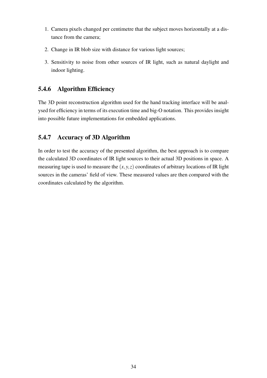- 1. Camera pixels changed per centimetre that the subject moves horizontally at a distance from the camera;
- 2. Change in IR blob size with distance for various light sources;
- 3. Sensitivity to noise from other sources of IR light, such as natural daylight and indoor lighting.

### 5.4.6 Algorithm Efficiency

The 3D point reconstruction algorithm used for the hand tracking interface will be analysed for efficiency in terms of its execution time and big-O notation. This provides insight into possible future implementations for embedded applications.

### 5.4.7 Accuracy of 3D Algorithm

In order to test the accuracy of the presented algorithm, the best approach is to compare the calculated 3D coordinates of IR light sources to their actual 3D positions in space. A measuring tape is used to measure the  $(x, y, z)$  coordinates of arbitrary locations of IR light sources in the cameras' field of view. These measured values are then compared with the coordinates calculated by the algorithm.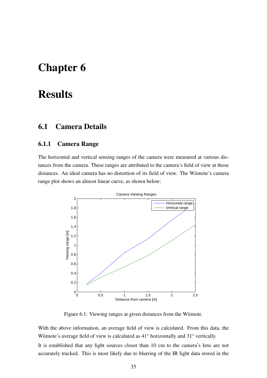# Chapter 6

# **Results**

# 6.1 Camera Details

### 6.1.1 Camera Range

The horizontal and vertical sensing ranges of the camera were measured at various distances from the camera. These ranges are attributed to the camera's field of view at those distances. An ideal camera has no distortion of its field of view. The Wiimote's camera range plot shows an almost linear curve, as shown below:



Figure 6.1: Viewing ranges at given distances from the Wiimote.

With the above information, an average field of view is calculated. From this data, the Wiimote's average field of view is calculated as 41° horizontally and 31° vertically.

It is established that any light sources closer than 10 cm to the camera's lens are not accurately tracked. This is most likely due to blurring of the IR light data stored in the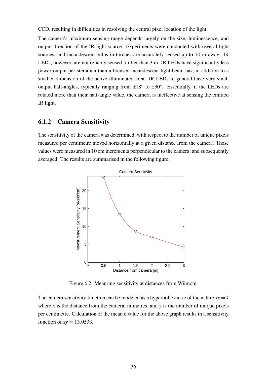CCD, resulting in difficulties in resolving the central pixel location of the light.

The camera's maximum sensing range depends largely on the size, luminescence, and output direction of the IR light source. Experiments were conducted with several light sources, and incandescent bulbs in torches are accurately sensed up to 10 m away. IR LEDs, however, are not reliably sensed further than 3 m. IR LEDs have significantly less power output per steradian than a focused incandescent light beam has, in addition to a smaller dimension of the active illuminated area. IR LEDs in general have very small output half-angles, typically ranging from  $\pm 18^\circ$  to  $\pm 30^\circ$ . Essentially, if the LEDs are rotated more than their half-angle value, the camera is ineffective at sensing the emitted IR light.

### 6.1.2 Camera Sensitivity

The sensitivity of the camera was determined, with respect to the number of unique pixels measured per centimetre moved horizontally at a given distance from the camera. These values were measured in 10 cm increments perpendicular to the camera, and subsequently averaged. The results are summarised in the following figure:



Figure 6.2: Meauring sensitivity at distances from Wiimote.

The camera sensitivity function can be modeled as a hyperbolic curve of the nature  $xy = k$ where  $x$  is the distance from the camera, in metres, and  $y$  is the number of unique pixels per centimetre. Calculation of the mean *k* value for the above graph results in a sensitivity function of  $xy = 13.0533$ .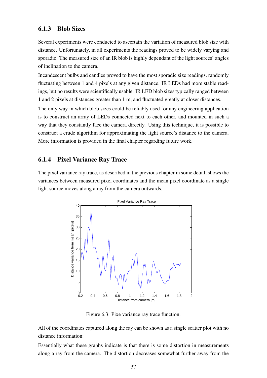#### 6.1.3 Blob Sizes

Several experiments were conducted to ascertain the variation of measured blob size with distance. Unfortunately, in all experiments the readings proved to be widely varying and sporadic. The measured size of an IR blob is highly dependant of the light sources' angles of inclination to the camera.

Incandescent bulbs and candles proved to have the most sporadic size readings, randomly fluctuating between 1 and 4 pixels at any given distance. IR LEDs had more stable readings, but no results were scientifically usable. IR LED blob sizes typically ranged between 1 and 2 pixels at distances greater than 1 m, and fluctuated greatly at closer distances.

The only way in which blob sizes could be reliably used for any engineering application is to construct an array of LEDs connected next to each other, and mounted in such a way that they constantly face the camera directly. Using this technique, it is possible to construct a crude algorithm for approximating the light source's distance to the camera. More information is provided in the final chapter regarding future work.

#### 6.1.4 Pixel Variance Ray Trace

The pixel variance ray trace, as described in the previous chapter in some detail, shows the variances between measured pixel coordinates and the mean pixel coordinate as a single light source moves along a ray from the camera outwards.



Figure 6.3: Pixe variance ray trace function.

All of the coordinates captured along the ray can be shown as a single scatter plot with no distance information:

Essentially what these graphs indicate is that there is some distortion in measurements along a ray from the camera. The distortion decreases somewhat further away from the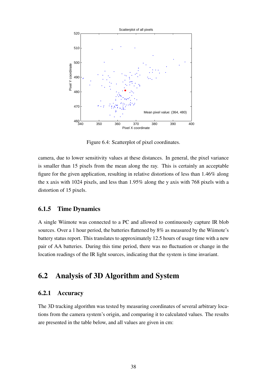

Figure 6.4: Scatterplot of pixel coordinates.

camera, due to lower sensitivity values at these distances. In general, the pixel variance is smaller than 15 pixels from the mean along the ray. This is certainly an acceptable figure for the given application, resulting in relative distortions of less than 1.46% along the x axis with 1024 pixels, and less than 1.95% along the y axis with 768 pixels with a distortion of 15 pixels.

### 6.1.5 Time Dynamics

A single Wiimote was connected to a PC and allowed to continuously capture IR blob sources. Over a 1 hour period, the batteries flattened by 8% as measured by the Wiimote's battery status report. This translates to approximately 12.5 hours of usage time with a new pair of AA batteries. During this time period, there was no fluctuation or change in the location readings of the IR light sources, indicating that the system is time invariant.

## 6.2 Analysis of 3D Algorithm and System

### 6.2.1 Accuracy

The 3D tracking algorithm was tested by measuring coordinates of several arbitrary locations from the camera system's origin, and comparing it to calculated values. The results are presented in the table below, and all values are given in cm: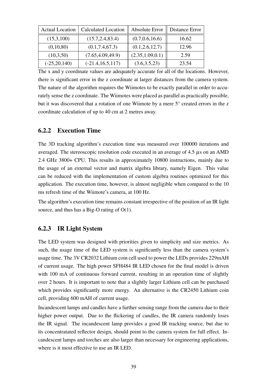| <b>Actual Location</b> | <b>Calculated Location</b> | Absolute Error    | Distance Error |
|------------------------|----------------------------|-------------------|----------------|
| (15,3,100)             | (15.7, 2.4, 83.4)          | (0.7, 0.6, 16.6)  | 16.62          |
| (0,10,80)              | (0.1, 7.4, 67.3)           | (0.1, 2.6, 12.7)  | 12.96          |
| (10,3,50)              | (7.65, 4.09, 49.9)         | (2.35, 1.09, 0.1) | 2.59           |
| $(-25, 20, 140)$       | $(-21.4, 16.5, 117)$       | (3.6, 3.5, 23)    | 23.54          |

The x and y coordinate values are adequately accurate for all of the locations. However, there is significant error in the z coordinate at larger distances from the camera system. The nature of the algorithm requires the Wiimotes to be exactly parallel in order to accurately sense the z coordinate. The Wiimotes were placed as parallel as practically possible, but it was discovered that a rotation of one Wiimote by a mere 5° created errors in the z coordinate calculation of up to 40 cm at 2 metres away.

### 6.2.2 Execution Time

The 3D tracking algorithm's execution time was measured over 100000 iterations and averaged. The stereoscopic resolution code executed in an average of 4.5  $\mu$ s on an AMD 2.4 GHz 3800+ CPU. This results in approximately 10800 instructions, mainly due to the usage of an external vector and matrix algebra library, namely Eigen. This value can be reduced with the implementation of custom algebra routines optimized for this application. The execution time, however, is almost negligible when compared to the 10 ms refresh time of the Wiimote's camera, at 100 Hz.

The algorithm's execution time remains constant irrespective of the position of an IR light source, and thus has a Big-O rating of O(1).

### 6.2.3 IR Light System

The LED system was designed with priorities given to simplicity and size metrics. As such, the usage time of the LED system is significantly less than the camera system's usage time. The 3V CR2032 Lithium coin cell used to power the LEDs provides 229mAH of current usage. The high power SFH484 IR LED chosen for the final model is driven with 100 mA of continuous forward current, resulting in an operation time of slightly over 2 hours. It is important to note that a slightly larger Lithium cell can be purchased which provides significantly more energy. An alternative is the CR2450 Lithium coin cell, providing 600 mAH of current usage.

Incandescent lamps and candles have a further sensing range from the camera due to their higher power output. Due to the flickering of candles, the IR camera randomly loses the IR signal. The incandescent lamp provides a good IR tracking source, but due to its concentratated reflector design, should point to the camera system for full effect. Incandescent lamps and torches are also larger than necessary for engineering applications, where is it most effective to use an IR LED.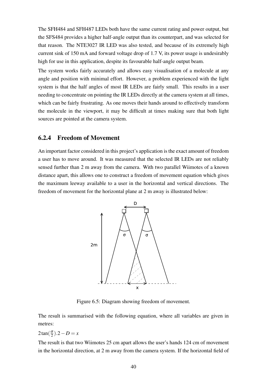The SFH484 and SFH487 LEDs both have the same current rating and power output, but the SFS484 provides a higher half-angle output than its counterpart, and was selected for that reason. The NTE3027 IR LED was also tested, and because of its extremely high current sink of 150 mA and forward voltage drop of 1.7 V, its power usage is undesirably high for use in this application, despite its favourable half-angle output beam.

The system works fairly accurately and allows easy visualisation of a molecule at any angle and position with minimal effort. However, a problem experienced with the light system is that the half angles of most IR LEDs are fairly small. This results in a user needing to concentrate on pointing the IR LEDs directly at the camera system at all times, which can be fairly frustrating. As one moves their hands around to effectively transform the molecule in the viewport, it may be difficult at times making sure that both light sources are pointed at the camera system.

#### 6.2.4 Freedom of Movement

An important factor considered in this project's application is the exact amount of freedom a user has to move around. It was measured that the selected IR LEDs are not reliably sensed further than 2 m away from the camera. With two parallel Wiimotes of a known distance apart, this allows one to construct a freedom of movement equation which gives the maximum leeway available to a user in the horizontal and vertical directions. The freedom of movement for the horizontal plane at 2 m away is illustrated below:



Figure 6.5: Diagram showing freedom of movement.

The result is summarised with the following equation, where all variables are given in metres:

 $2\tan(\frac{\sigma}{2})$  $\frac{\sigma}{2}$ ).2 – *D* = *x* 

The result is that two Wiimotes 25 cm apart allows the user's hands 124 cm of movement in the horizontal direction, at 2 m away from the camera system. If the horizontal field of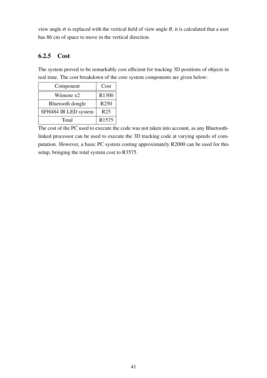view angle  $\sigma$  is replaced with the vertical field of view angle  $\theta$ , it is calculated that a user has 86 cm of space to move in the vertical direction.

## 6.2.5 Cost

The system proved to be remarkably cost efficient for tracking 3D positions of objects in real time. The cost breakdown of the core system components are given below:

| Component            | Cost             |
|----------------------|------------------|
| Wiimote x2           | R1300            |
| Bluetooth dongle     | R <sub>250</sub> |
| SFH484 IR LED system | R <sub>25</sub>  |
| Total                | R1575            |

The cost of the PC used to execute the code was not taken into account, as any Bluetoothlinked processor can be used to execute the 3D tracking code at varying speeds of computation. However, a basic PC system costing approximately R2000 can be used for this setup, bringing the total system cost to R3575.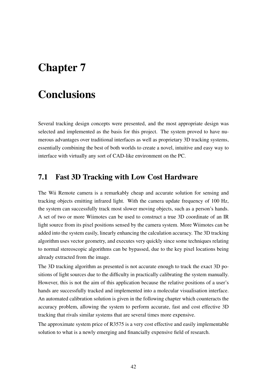# Chapter 7

# **Conclusions**

Several tracking design concepts were presented, and the most appropriate design was selected and implemented as the basis for this project. The system proved to have numerous advantages over traditional interfaces as well as proprietary 3D tracking systems, essentially combining the best of both worlds to create a novel, intuitive and easy way to interface with virtually any sort of CAD-like environment on the PC.

## 7.1 Fast 3D Tracking with Low Cost Hardware

The Wii Remote camera is a remarkably cheap and accurate solution for sensing and tracking objects emitting infrared light. With the camera update frequency of 100 Hz, the system can successfully track most slower moving objects, such as a person's hands. A set of two or more Wiimotes can be used to construct a true 3D coordinate of an IR light source from its pixel positions sensed by the camera system. More Wiimotes can be added into the system easily, linearly enhancing the calculation accuracy. The 3D tracking algorithm uses vector geometry, and executes very quickly since some techniques relating to normal stereoscopic algorithms can be bypassed, due to the key pixel locations being already extracted from the image.

The 3D tracking algorithm as presented is not accurate enough to track the exact 3D positions of light sources due to the difficulty in practically calibrating the system manually. However, this is not the aim of this application because the relative positions of a user's hands are successfully tracked and implemented into a molecular visualisation interface. An automated calibration solution is given in the following chapter which counteracts the accuracy problem, allowing the system to perform accurate, fast and cost effective 3D tracking that rivals similar systems that are several times more expensive.

The approximate system price of R3575 is a very cost effective and easily implementable solution to what is a newly emerging and financially expensive field of research.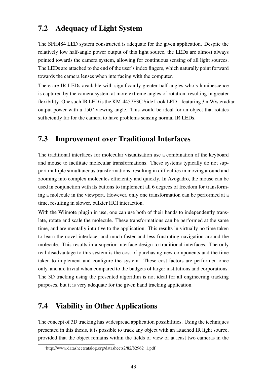## 7.2 Adequacy of Light System

The SFH484 LED system constructed is adequate for the given application. Despite the relatively low half-angle power output of this light source, the LEDs are almost always pointed towards the camera system, allowing for continuous sensing of all light sources. The LEDs are attached to the end of the user's index fingers, which naturally point forward towards the camera lenses when interfacing with the computer.

There are IR LEDs available with significantly greater half angles who's luminescence is captured by the camera system at more extreme angles of rotation, resulting in greater flexibility. One such IR LED is the KM-4457F3C Side Look LED<sup>1</sup>, featuring 3 mW/steradian output power with a 150° viewing angle. This would be ideal for an object that rotates sufficiently far for the camera to have problems sensing normal IR LEDs.

## 7.3 Improvement over Traditional Interfaces

The traditional interfaces for molecular visualisation use a combination of the keyboard and mouse to facilitate molecular transformations. These systems typically do not support multiple simultaneous transformations, resulting in difficulties in moving around and zooming into complex molecules efficiently and quickly. In Avogadro, the mouse can be used in conjunction with its buttons to implement all 6 degrees of freedom for transforming a molecule in the viewport. However, only one transformation can be performed at a time, resulting in slower, bulkier HCI interaction.

With the Wiimote plugin in use, one can use both of their hands to independently translate, rotate and scale the molecule. These transformations can be performed at the same time, and are mentally intuitive to the application. This results in virtually no time taken to learn the novel interface, and much faster and less frustrating navigation around the molecule. This results in a superior interface design to traditional interfaces. The only real disadvantage to this system is the cost of purchasing new components and the time taken to implement and configure the system. These cost factors are performed once only, and are trivial when compared to the budgets of larger institutions and corporations. The 3D tracking using the presented algorithm is not ideal for all engineering tracking purposes, but it is very adequate for the given hand tracking application.

## 7.4 Viability in Other Applications

The concept of 3D tracking has widespread application possibilities. Using the techniques presented in this thesis, it is possible to track any object with an attached IR light source, provided that the object remains within the fields of view of at least two cameras in the

<sup>1</sup>http://www.datasheetcatalog.org/datasheets2/82/82962\_1.pdf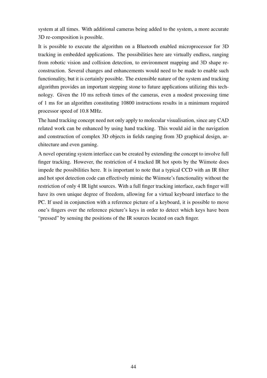system at all times. With additional cameras being added to the system, a more accurate 3D re-composition is possible.

It is possible to execute the algorithm on a Bluetooth enabled microprocessor for 3D tracking in embedded applications. The possibilities here are virtually endless, ranging from robotic vision and collision detection, to environment mapping and 3D shape reconstruction. Several changes and enhancements would need to be made to enable such functionality, but it is certainly possible. The extensible nature of the system and tracking algorithm provides an important stepping stone to future applications utilizing this technology. Given the 10 ms refresh times of the cameras, even a modest processing time of 1 ms for an algorithm constituting 10800 instructions results in a minimum required processor speed of 10.8 MHz.

The hand tracking concept need not only apply to molecular visualisation, since any CAD related work can be enhanced by using hand tracking. This would aid in the navigation and construction of complex 3D objects in fields ranging from 3D graphical design, architecture and even gaming.

A novel operating system interface can be created by extending the concept to involve full finger tracking. However, the restriction of 4 tracked IR hot spots by the Wiimote does impede the possibilities here. It is important to note that a typical CCD with an IR filter and hot spot detection code can effectively mimic the Wiimote's functionality without the restriction of only 4 IR light sources. With a full finger tracking interface, each finger will have its own unique degree of freedom, allowing for a virtual keyboard interface to the PC. If used in conjunction with a reference picture of a keyboard, it is possible to move one's fingers over the reference picture's keys in order to detect which keys have been "pressed" by sensing the positions of the IR sources located on each finger.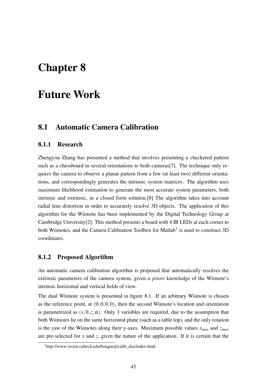# Chapter 8

# Future Work

## 8.1 Automatic Camera Calibration

#### 8.1.1 Research

Zhengyou Zhang has presented a method that involves presenting a checkered pattern such as a chessboard in several orientations to both cameras[7]. The technique only requires the camera to observe a planar pattern from a few (at least two) different orientations, and correspondingly generates the intrinsic system matrices. The algorithm uses maximum likelihood estimation to generate the most accurate system parameters, both intrinsic and extrinsic, in a closed form solution.[8] The algorithm takes into account radial lens distortion in order to accurately resolve 3D objects. The application of this algorithm for the Wiimote has been implemented by the Digital Technology Group at Cambridge University[2]. This method presents a board with 4 IR LEDs at each corner to both Wiimotes, and the Camera Calibration Toolbox for Matlab<sup>1</sup> is used to construct 3D coordinates.

#### 8.1.2 Proposed Algorithm

An automatic camera calibration algorithm is proposed that automatically resolves the extrinsic parameters of the camera system, given *a priori* knowledge of the Wiimote's intrinsic horizontal and vertical fields of view.

The dual Wiimote system is presented in figure 8.1. If an arbitrary Wiimote is chosen as the reference point, at  $(0,0,0,0)$ , then the second Wiimote's location and orientation is parametrized as  $(x,0,z,\alpha)$ . Only 3 variables are required, due to the assumption that both Wiimotes lie on the same horizontal plane (such as a table top), and the only rotation is the yaw of the Wiimotes along their y-axes. Maximum possible values *xmax* and *zmax* are pre-selected for *x* and *z*, given the nature of the application. If it is certain that the

<sup>1</sup>http://www.vision.caltech.edu/bouguetj/calib\_doc/index.html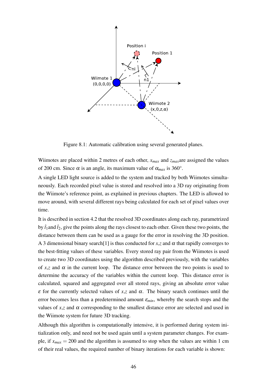

Figure 8.1: Automatic calibration using several generated planes.

Wiimotes are placed within 2 metres of each other, *xmax* and *zmax*are assigned the values of 200 cm. Since  $\alpha$  is an angle, its maximum value of  $\alpha_{max}$  is 360°.

A single LED light source is added to the system and tracked by both Wiimotes simultaneously. Each recorded pixel value is stored and resolved into a 3D ray originating from the Wiimote's reference point, as explained in previous chapters. The LED is allowed to move around, with several different rays being calculated for each set of pixel values over time.

It is described in section 4.2 that the resolved 3D coordinates along each ray, parametrized by  $\hat{t}_1$  and  $\hat{t}_2$ , give the points along the rays closest to each other. Given these two points, the distance between them can be used as a gauge for the error in resolving the 3D position. A 3 dimensional binary search<sup>[1]</sup> is thus conducted for *x*,*z* and  $\alpha$  that rapidly converges to the best-fitting values of these variables. Every stored ray pair from the Wiimotes is used to create two 3D coordinates using the algorithm described previously, with the variables of *x*,*z* and  $\alpha$  in the current loop. The distance error between the two points is used to determine the accuracy of the variables within the current loop. This distance error is calculated, squared and aggregated over all stored rays, giving an absolute error value ε for the currently selected values of *x*,*z* and α. The binary search continues until the error becomes less than a predetermined amount  $\varepsilon_{min}$ , whereby the search stops and the values of  $x, z$  and  $\alpha$  corresponding to the smallest distance error are selected and used in the Wiimote system for future 3D tracking.

Although this algorithm is computationally intensive, it is performed during system initialization only, and need not be used again until a system parameter changes. For example, if  $x_{max} = 200$  and the algorithm is assumed to stop when the values are within 1 cm of their real values, the required number of binary iterations for each variable is shown: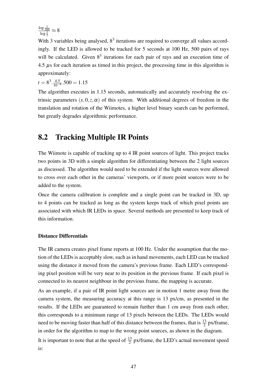$\frac{\log \frac{1}{200}}{\log \frac{1}{2}} \approx 8$ 

With 3 variables being analysed,  $8<sup>3</sup>$  iterations are required to converge all values accordingly. If the LED is allowed to be tracked for 5 seconds at 100 Hz, 500 pairs of rays will be calculated. Given  $8<sup>3</sup>$  iterations for each pair of rays and an execution time of  $4.5 \mu s$  for each iteration as timed in this project, the processing time in this algorithm is approximately:

$$
t = 8^3 \cdot \frac{4.5}{10^{-6}} \cdot 500 = 1.15
$$

The algorithm executes in 1.15 seconds, automatically and accurately resolving the extrinsic parameters  $(x, 0, z, \alpha)$  of this system. With additional degrees of freedom in the translation and rotation of the Wiimotes, a higher level binary search can be performed, but greatly degrades algorithmic performance.

## 8.2 Tracking Multiple IR Points

The Wiimote is capable of tracking up to 4 IR point sources of light. This project tracks two points in 3D with a simple algorithm for differentiating between the 2 light sources as discussed. The algorithm would need to be extended if the light sources were allowed to cross over each other in the cameras' viewports, or if more point sources were to be added to the system.

Once the camera calibration is complete and a single point can be tracked in 3D, up to 4 points can be tracked as long as the system keeps track of which pixel points are associated with which IR LEDs in space. Several methods are presented to keep track of this information.

#### Distance Differentials

The IR camera creates pixel frame reports at 100 Hz. Under the assumption that the motion of the LEDs is acceptably slow, such as in hand movements, each LED can be tracked using the distance it moved from the camera's previous frame. Each LED's corresponding pixel position will be very near to its position in the previous frame. If each pixel is connected to its nearest neighbour in the previous frame, the mapping is accurate.

As an example, if a pair of IR point light sources are in motion 1 metre away from the camera system, the measuring accuracy at this range is 13 px/cm, as presented in the results. If the LEDs are guaranteed to remain further than 1 cm away from each other, this corresponds to a minimum range of 13 pixels between the LEDs. The LEDs would need to be moving faster than half of this distance between the frames, that is  $\frac{13}{2}$  px/frame, in order for the algorithm to map to the wrong point sources, as shown in the diagram.

It is important to note that at the speed of  $\frac{13}{2}$  px/frame, the LED's actual movement speed is: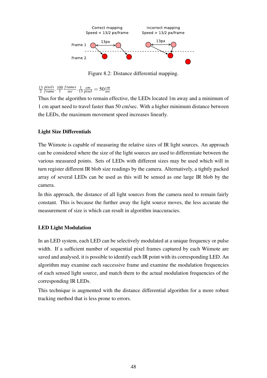

Figure 8.2: Distance differential mapping.

13 2 *pixels f rame* . 100 1 *f rames sec* . 1 13  $\frac{cm}{pixel} = 50 \frac{cm}{sec}$ 

Thus for the algorithm to remain effective, the LEDs located 1m away and a minimum of 1 cm apart need to travel faster than 50 cm/sec. With a higher minimum distance between the LEDs, the maximum movement speed increases linearly.

### Light Size Differentials

The Wiimote is capable of measuring the relative sizes of IR light sources. An approach can be considered where the size of the light sources are used to differentiate between the various measured points. Sets of LEDs with different sizes may be used which will in turn register different IR blob size readings by the camera. Alternatively, a tightly packed array of several LEDs can be used as this will be sensed as one large IR blob by the camera.

In this approach, the distance of all light sources from the camera need to remain fairly constant. This is because the further away the light source moves, the less accurate the measurement of size is which can result in algorithm inaccuracies.

#### LED Light Modulation

In an LED system, each LED can be selectively modulated at a unique frequency or pulse width. If a sufficient number of sequential pixel frames captured by each Wiimote are saved and analysed, it is possible to identify each IR point with its corresponding LED. An algorithm may examine each successive frame and examine the modulation frequencies of each sensed light source, and match them to the actual modulation frequencies of the corresponding IR LEDs.

This technique is augmented with the distance differential algorithm for a more robust tracking method that is less prone to errors.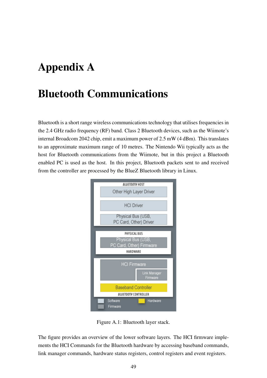# Appendix A

# Bluetooth Communications

Bluetooth is a short range wireless communications technology that utilises frequencies in the 2.4 GHz radio frequency (RF) band. Class 2 Bluetooth devices, such as the Wiimote's internal Broadcom 2042 chip, emit a maximum power of 2.5 mW (4 dBm). This translates to an approximate maximum range of 10 metres. The Nintendo Wii typically acts as the host for Bluetooth communications from the Wiimote, but in this project a Bluetooth enabled PC is used as the host. In this project, Bluetooth packets sent to and received from the controller are processed by the BlueZ Bluetooth library in Linux.



Figure A.1: Bluetooth layer stack.

The figure provides an overview of the lower software layers. The HCI firmware implements the HCI Commands for the Bluetooth hardware by accessing baseband commands, link manager commands, hardware status registers, control registers and event registers.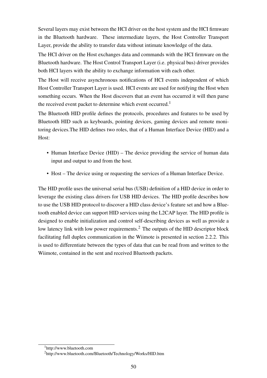Several layers may exist between the HCI driver on the host system and the HCI firmware in the Bluetooth hardware. These intermediate layers, the Host Controller Transport Layer, provide the ability to transfer data without intimate knowledge of the data.

The HCI driver on the Host exchanges data and commands with the HCI firmware on the Bluetooth hardware. The Host Control Transport Layer (i.e. physical bus) driver provides both HCI layers with the ability to exchange information with each other.

The Host will receive asynchronous notifications of HCI events independent of which Host Controller Transport Layer is used. HCI events are used for notifying the Host when something occurs. When the Host discovers that an event has occurred it will then parse the received event packet to determine which event occurred.<sup>1</sup>

The Bluetooth HID profile defines the protocols, procedures and features to be used by Bluetooth HID such as keyboards, pointing devices, gaming devices and remote monitoring devices.The HID defines two roles, that of a Human Interface Device (HID) and a Host:

- Human Interface Device (HID) The device providing the service of human data input and output to and from the host.
- Host The device using or requesting the services of a Human Interface Device.

The HID profile uses the universal serial bus (USB) definition of a HID device in order to leverage the existing class drivers for USB HID devices. The HID profile describes how to use the USB HID protocol to discover a HID class device's feature set and how a Bluetooth enabled device can support HID services using the L2CAP layer. The HID profile is designed to enable initialization and control self-describing devices as well as provide a low latency link with low power requirements.<sup>2</sup> The outputs of the HID descriptor block facilitating full duplex communication in the Wiimote is presented in section 2.2.2. This is used to differentiate between the types of data that can be read from and written to the Wiimote, contained in the sent and received Bluetooth packets.

<sup>1</sup>http://www.bluetooth.com

<sup>2</sup>http://www.bluetooth.com/Bluetooth/Technology/Works/HID.htm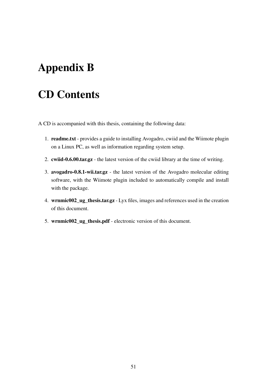# Appendix B

# CD Contents

A CD is accompanied with this thesis, containing the following data:

- 1. readme.txt provides a guide to installing Avogadro, cwiid and the Wiimote plugin on a Linux PC, as well as information regarding system setup.
- 2. cwiid-0.6.00.tar.gz the latest version of the cwiid library at the time of writing.
- 3. avogadro-0.8.1-wii.tar.gz the latest version of the Avogadro molecular editing software, with the Wiimote plugin included to automatically compile and install with the package.
- 4. wrnmic002\_ug\_thesis.tar.gz Lyx files, images and references used in the creation of this document.
- 5. wrnmic002\_ug\_thesis.pdf electronic version of this document.